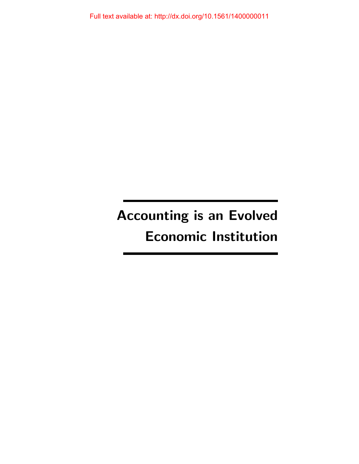Full text available at: http://dx.doi.org/10.1561/1400000011

# Accounting is an Evolved Economic Institution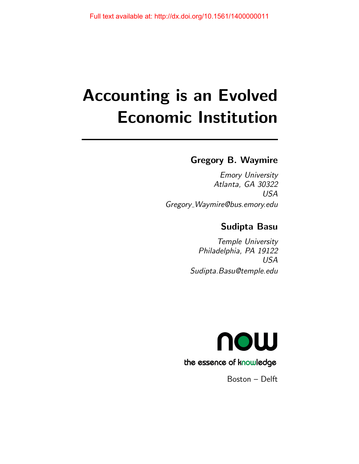# Accounting is an Evolved Economic Institution

## Gregory B. Waymire

Emory University Atlanta, GA 30322 USA Gregory Waymire@bus.emory.edu

## Sudipta Basu

Temple University Philadelphia, PA 19122 USA Sudipta.Basu@temple.edu



Boston – Delft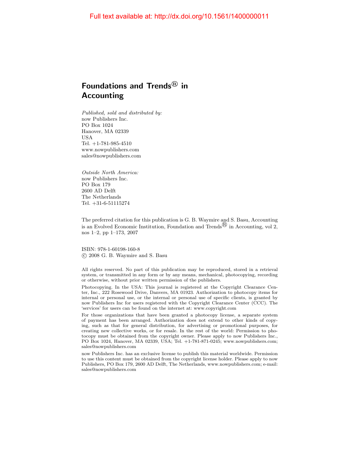## Foundations and Trends $^{\circledR}$  in Accounting

Published, sold and distributed by: now Publishers Inc. PO Box 1024 Hanover, MA 02339 USA Tel. +1-781-985-4510 www.nowpublishers.com sales@nowpublishers.com

Outside North America: now Publishers Inc. PO Box 179 2600 AD Delft The Netherlands Tel. +31-6-51115274

The preferred citation for this publication is G. B. Waymire and S. Basu, Accounting is an Evolved Economic Institution, Foundation and Trends  $\mathbb B$  in Accounting, vol 2, nos 1–2, pp 1–173, 2007

ISBN: 978-1-60198-160-8 c 2008 G. B. Waymire and S. Basu

All rights reserved. No part of this publication may be reproduced, stored in a retrieval system, or transmitted in any form or by any means, mechanical, photocopying, recording or otherwise, without prior written permission of the publishers.

Photocopying. In the USA: This journal is registered at the Copyright Clearance Center, Inc., 222 Rosewood Drive, Danvers, MA 01923. Authorization to photocopy items for internal or personal use, or the internal or personal use of specific clients, is granted by now Publishers Inc for users registered with the Copyright Clearance Center (CCC). The 'services' for users can be found on the internet at: www.copyright.com

For those organizations that have been granted a photocopy license, a separate system of payment has been arranged. Authorization does not extend to other kinds of copying, such as that for general distribution, for advertising or promotional purposes, for creating new collective works, or for resale. In the rest of the world: Permission to photocopy must be obtained from the copyright owner. Please apply to now Publishers Inc., PO Box 1024, Hanover, MA 02339, USA; Tel. +1-781-871-0245; www.nowpublishers.com; sales@nowpublishers.com

now Publishers Inc. has an exclusive license to publish this material worldwide. Permission to use this content must be obtained from the copyright license holder. Please apply to now Publishers, PO Box 179, 2600 AD Delft, The Netherlands, www.nowpublishers.com; e-mail: sales@nowpublishers.com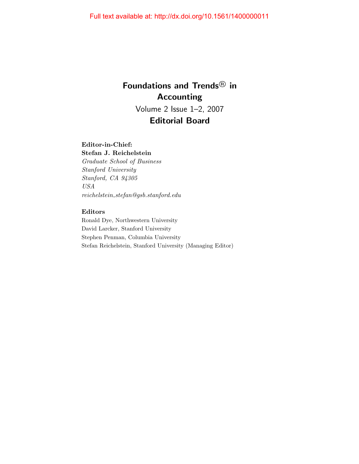## Foundations and Trends<sup>®</sup> in Accounting Volume 2 Issue 1–2, 2007 Editorial Board

#### Editor-in-Chief:

Stefan J. Reichelstein Graduate School of Business Stanford University Stanford, CA 94305 USA  $reichelstein\_stefan@gsb.stanford.edu$ 

#### Editors

Ronald Dye, Northwestern University David Larcker, Stanford University Stephen Penman, Columbia University Stefan Reichelstein, Stanford University (Managing Editor)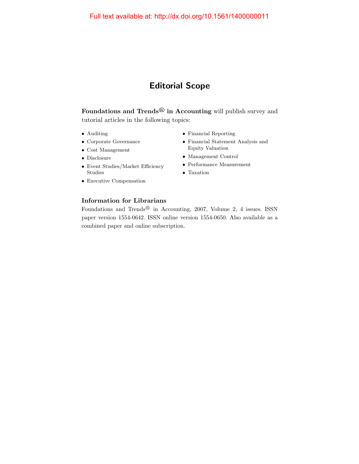## Editorial Scope

Foundations and Trends $^{\textcircled{\textrm{B}}}$  in Accounting will publish survey and tutorial articles in the following topics:

- Auditing
- Corporate Governance
- Cost Management
- Disclosure
- Event Studies/Market Efficiency Studies
- Executive Compensation
- Financial Reporting
- Financial Statement Analysis and Equity Valuation
- Management Control
- Performance Measurement
- Taxation

#### Information for Librarians

Foundations and Trends<sup>®</sup> in Accounting, 2007, Volume 2, 4 issues. ISSN paper version 1554-0642. ISSN online version 1554-0650. Also available as a combined paper and online subscription.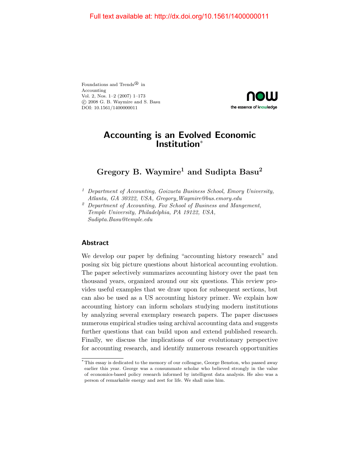Foundations and Trends<sup>®</sup> in Accounting Vol. 2, Nos. 1–2 (2007) 1–173 c 2008 G. B. Waymire and S. Basu DOI: 10.1561/1400000011



### Accounting is an Evolved Economic Institution<sup>∗</sup>

## Gregory B. Waymire<sup>1</sup> and Sudipta Basu<sup>2</sup>

- <sup>1</sup> Department of Accounting, Goizueta Business School, Emory University, Atlanta, GA 30322, USA, Gregory\_Waymire@bus.emory.edu
- <sup>2</sup> Department of Accounting, Fox School of Business and Mangement, Temple University, Philadelphia, PA 19122, USA, Sudipta.Basu@temple.edu

#### Abstract

We develop our paper by defining "accounting history research" and posing six big picture questions about historical accounting evolution. The paper selectively summarizes accounting history over the past ten thousand years, organized around our six questions. This review provides useful examples that we draw upon for subsequent sections, but can also be used as a US accounting history primer. We explain how accounting history can inform scholars studying modern institutions by analyzing several exemplary research papers. The paper discusses numerous empirical studies using archival accounting data and suggests further questions that can build upon and extend published research. Finally, we discuss the implications of our evolutionary perspective for accounting research, and identify numerous research opportunities

<sup>\*</sup> This essay is dedicated to the memory of our colleague, George Benston, who passed away earlier this year. George was a consummate scholar who believed strongly in the value of economics-based policy research informed by intelligent data analysis. He also was a person of remarkable energy and zest for life. We shall miss him.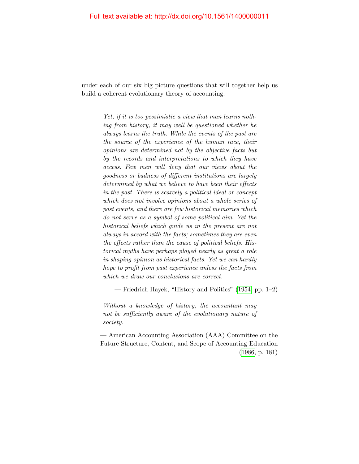under each of our six big picture questions that will together help us build a coherent evolutionary theory of accounting.

> Yet, if it is too pessimistic a view that man learns nothing from history, it may well be questioned whether he always learns the truth. While the events of the past are the source of the experience of the human race, their opinions are determined not by the objective facts but by the records and interpretations to which they have access. Few men will deny that our views about the goodness or badness of different institutions are largely determined by what we believe to have been their effects in the past. There is scarcely a political ideal or concept which does not involve opinions about a whole series of past events, and there are few historical memories which do not serve as a symbol of some political aim. Yet the historical beliefs which guide us in the present are not always in accord with the facts; sometimes they are even the effects rather than the cause of political beliefs. Historical myths have perhaps played nearly as great a role in shaping opinion as historical facts. Yet we can hardly hope to profit from past experience unless the facts from which we draw our conclusions are correct.

— Friedrich Hayek, "History and Politics" [\(1954,](#page-26-0) pp. 1–2)

Without a knowledge of history, the accountant may not be sufficiently aware of the evolutionary nature of society.

— American Accounting Association (AAA) Committee on the Future Structure, Content, and Scope of Accounting Education [\(1986,](#page-13-0) p. 181)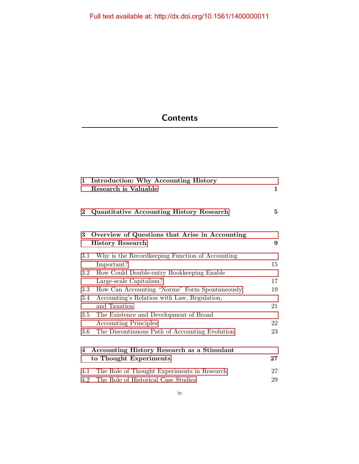# **Contents**

| $\mathbf{1}$ | <b>Introduction: Why Accounting History</b><br><b>Research is Valuable</b> | $\mathbf 1$ |
|--------------|----------------------------------------------------------------------------|-------------|
| $\bf{2}$     | <b>Quantitative Accounting History Research</b>                            | $\bf{5}$    |
| 3            | Overview of Questions that Arise in Accounting<br><b>History Research</b>  | 9           |
| 3.1          | Why is the Record keeping Function of Accounting<br>Important?             | 15          |
| $3.2\,$      | How Could Double-entry Bookkeeping Enable                                  |             |
|              | Large-scale Capitalism?                                                    | 17          |
| $3.3\,$      | How Can Accounting "Norms" Form Spontaneously                              | 19          |
| 3.4          | Accounting's Relation with Law, Regulation,                                |             |
|              | and Taxation                                                               | 21          |
| $3.5\,$      | The Existence and Development of Broad                                     |             |
|              | <b>Accounting Principles</b>                                               | 22          |
| 3.6          | The Discontinuous Path of Accounting Evolution                             | 23          |
| 4            | <b>Accounting History Research as a Stimulant</b>                          |             |
|              | to Thought Experiments                                                     | $27\,$      |
| 4.1          | The Role of Thought Experiments in Research                                | 27          |
| 4.2          | The Role of Historical Case Studies                                        | 29          |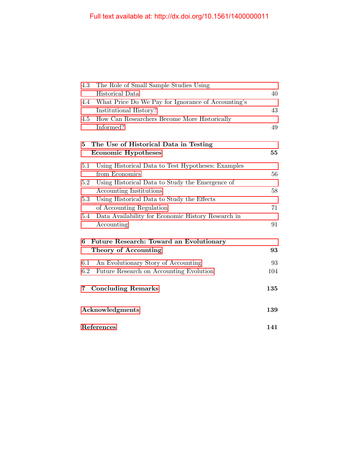| 4.3                                          | The Role of Small Sample Studies Using             |     |  |
|----------------------------------------------|----------------------------------------------------|-----|--|
|                                              | Historical Data                                    | 40  |  |
| 4.4                                          | What Price Do We Pay for Ignorance of Accounting's |     |  |
|                                              | Institutional History?                             | 43  |  |
| 4.5                                          | How Can Researchers Become More Historically       |     |  |
|                                              | Informed?                                          | 49  |  |
| 5                                            | The Use of Historical Data in Testing              |     |  |
|                                              | <b>Economic Hypotheses</b>                         | 55  |  |
| $5.1\,$                                      | Using Historical Data to Test Hypotheses: Examples |     |  |
|                                              | from Economics                                     | 56  |  |
| 5.2                                          | Using Historical Data to Study the Emergence of    |     |  |
|                                              | Accounting Institutions                            | 58  |  |
| 5.3                                          | Using Historical Data to Study the Effects         |     |  |
|                                              | of Accounting Regulation                           | 71  |  |
| 5.4                                          | Data Availability for Economic History Research in |     |  |
|                                              | Accounting                                         | 91  |  |
| Future Research: Toward an Evolutionary<br>6 |                                                    |     |  |
|                                              | <b>Theory of Accounting</b>                        | 93  |  |
| 6.1                                          | An Evolutionary Story of Accounting                | 93  |  |
| 6.2                                          | Future Research on Accounting Evolution            | 104 |  |
| 7                                            | <b>Concluding Remarks</b>                          | 135 |  |
| Acknowledgments                              |                                                    | 139 |  |
| References                                   |                                                    | 141 |  |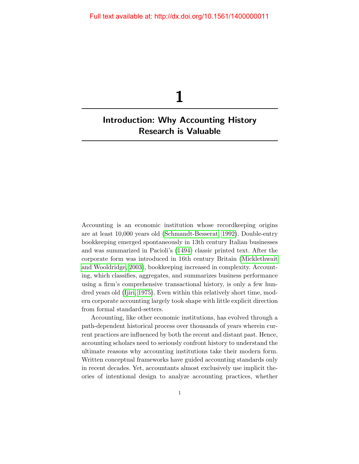# <span id="page-9-0"></span>Introduction: Why Accounting History Research is Valuable

1

Accounting is an economic institution whose recordkeeping origins are at least 10,000 years old [\(Schmandt-Besserat, 1992\)](#page-41-0). Double-entry bookkeeping emerged spontaneously in 13th century Italian businesses and was summarized in Pacioli's [\(1494\)](#page-37-0) classic printed text. After the corporate form was introduced in 16th century Britain [\(Micklethwait](#page-35-0) [and Wooldridge, 2003\)](#page-35-0), bookkeeping increased in complexity. Accounting, which classifies, aggregates, and summarizes business performance using a firm's comprehensive transactional history, is only a few hundred years old [\(Ijiri, 1975\)](#page-28-0). Even within this relatively short time, modern corporate accounting largely took shape with little explicit direction from formal standard-setters.

Accounting, like other economic institutions, has evolved through a path-dependent historical process over thousands of years wherein current practices are influenced by both the recent and distant past. Hence, accounting scholars need to seriously confront history to understand the ultimate reasons why accounting institutions take their modern form. Written conceptual frameworks have guided accounting standards only in recent decades. Yet, accountants almost exclusively use implicit theories of intentional design to analyze accounting practices, whether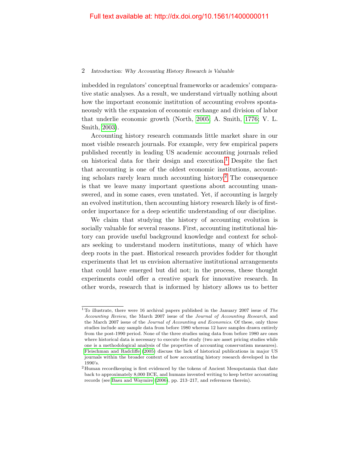#### 2 Introduction: Why Accounting History Research is Valuable

imbedded in regulators' conceptual frameworks or academics' comparative static analyses. As a result, we understand virtually nothing about how the important economic institution of accounting evolves spontaneously with the expansion of economic exchange and division of labor that underlie economic growth (North, [2005;](#page-37-1) A. Smith, [1776;](#page-43-0) V. L. Smith, [2003\)](#page-43-1).

Accounting history research commands little market share in our most visible research journals. For example, very few empirical papers published recently in leading US academic accounting journals relied on historical data for their design and execution.<sup>[1](#page-10-0)</sup> Despite the fact that accounting is one of the oldest economic institutions, accounting scholars rarely learn much accounting history.[2](#page-10-1) The consequence is that we leave many important questions about accounting unanswered, and in some cases, even unstated. Yet, if accounting is largely an evolved institution, then accounting history research likely is of firstorder importance for a deep scientific understanding of our discipline.

We claim that studying the history of accounting evolution is socially valuable for several reasons. First, accounting institutional history can provide useful background knowledge and context for scholars seeking to understand modern institutions, many of which have deep roots in the past. Historical research provides fodder for thought experiments that let us envision alternative institutional arrangements that could have emerged but did not; in the process, these thought experiments could offer a creative spark for innovative research. In other words, research that is informed by history allows us to better

<span id="page-10-0"></span><sup>&</sup>lt;sup>1</sup>To illustrate, there were 16 archival papers published in the January 2007 issue of  $The$ Accounting Review, the March 2007 issue of the Journal of Accounting Research, and the March 2007 issue of the Journal of Accounting and Economics. Of these, only three studies include any sample data from before 1980 whereas 12 have samples drawn entirely from the post-1990 period. None of the three studies using data from before 1980 are ones where historical data is necessary to execute the study (two are asset pricing studies while one is a methodological analysis of the properties of accounting conservatism measures). [Fleischman and Radcliffe](#page-24-0) [\(2005\)](#page-24-0) discuss the lack of historical publications in major US journals within the broader context of how accounting history research developed in the 1990's.

<span id="page-10-1"></span><sup>2</sup> Human recordkeeping is first evidenced by the tokens of Ancient Mesopotamia that date back to approximately 8,000 BCE, and humans invented writing to keep better accounting records (see [Basu and Waymire](#page-15-0) [\(2006\)](#page-15-0), pp. 213–217, and references therein).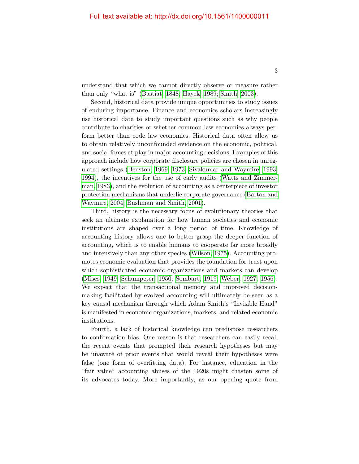understand that which we cannot directly observe or measure rather than only "what is" [\(Bastiat, 1848;](#page-15-1) [Hayek, 1989;](#page-26-1) [Smith, 2003\)](#page-43-1).

Second, historical data provide unique opportunities to study issues of enduring importance. Finance and economics scholars increasingly use historical data to study important questions such as why people contribute to charities or whether common law economies always perform better than code law economies. Historical data often allow us to obtain relatively unconfounded evidence on the economic, political, and social forces at play in major accounting decisions. Examples of this approach include how corporate disclosure policies are chosen in unregulated settings [\(Benston, 1969,](#page-16-0) [1973;](#page-16-1) [Sivakumar and Waymire, 1993,](#page-42-0) [1994\)](#page-42-1), the incentives for the use of early audits [\(Watts and Zimmer](#page-45-0)[man, 1983\)](#page-45-0), and the evolution of accounting as a centerpiece of investor protection mechanisms that underlie corporate governance [\(Barton and](#page-15-2) [Waymire, 2004;](#page-15-2) [Bushman and Smith, 2001\)](#page-17-0).

Third, history is the necessary focus of evolutionary theories that seek an ultimate explanation for how human societies and economic institutions are shaped over a long period of time. Knowledge of accounting history allows one to better grasp the deeper function of accounting, which is to enable humans to cooperate far more broadly and intensively than any other species [\(Wilson, 1975\)](#page-46-0). Accounting promotes economic evaluation that provides the foundation for trust upon which sophisticated economic organizations and markets can develop [\(Mises, 1949;](#page-35-1) [Schumpeter, 1950;](#page-41-1) [Sombart, 1919;](#page-43-2) [Weber, 1927,](#page-45-1) [1956\)](#page-46-1). We expect that the transactional memory and improved decisionmaking facilitated by evolved accounting will ultimately be seen as a key causal mechanism through which Adam Smith's "Invisible Hand" is manifested in economic organizations, markets, and related economic institutions.

Fourth, a lack of historical knowledge can predispose researchers to confirmation bias. One reason is that researchers can easily recall the recent events that prompted their research hypotheses but may be unaware of prior events that would reveal their hypotheses were false (one form of overfitting data). For instance, education in the "fair value" accounting abuses of the 1920s might chasten some of its advocates today. More importantly, as our opening quote from

3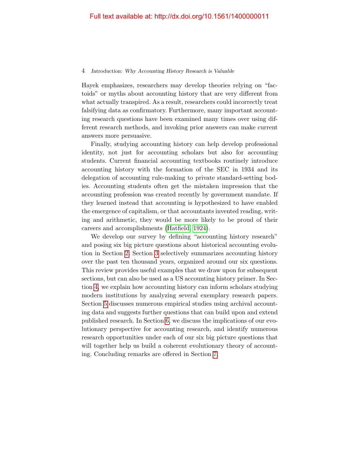#### 4 Introduction: Why Accounting History Research is Valuable

Hayek emphasizes, researchers may develop theories relying on "factoids" or myths about accounting history that are very different from what actually transpired. As a result, researchers could incorrectly treat falsifying data as confirmatory. Furthermore, many important accounting research questions have been examined many times over using different research methods, and invoking prior answers can make current answers more persuasive.

Finally, studying accounting history can help develop professional identity, not just for accounting scholars but also for accounting students. Current financial accounting textbooks routinely introduce accounting history with the formation of the SEC in 1934 and its delegation of accounting rule-making to private standard-setting bodies. Accounting students often get the mistaken impression that the accounting profession was created recently by government mandate. If they learned instead that accounting is hypothesized to have enabled the emergence of capitalism, or that accountants invented reading, writing and arithmetic, they would be more likely to be proud of their careers and accomplishments [\(Hatfield, 1924\)](#page-25-0).

We develop our survey by defining "accounting history research" and posing six big picture questions about historical accounting evolution in Section [2.](#page--1-0) Section [3](#page--1-0) selectively summarizes accounting history over the past ten thousand years, organized around our six questions. This review provides useful examples that we draw upon for subsequent sections, but can also be used as a US accounting history primer. In Section [4,](#page--1-0) we explain how accounting history can inform scholars studying modern institutions by analyzing several exemplary research papers. Section [5](#page--1-0) discusses numerous empirical studies using archival accounting data and suggests further questions that can build upon and extend published research. In Section [6,](#page--1-0) we discuss the implications of our evolutionary perspective for accounting research, and identify numerous research opportunities under each of our six big picture questions that will together help us build a coherent evolutionary theory of accounting. Concluding remarks are offered in Section [7.](#page--1-0)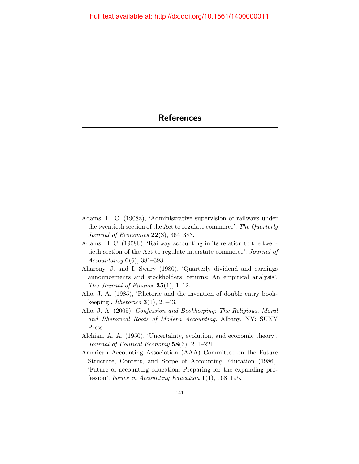- <span id="page-13-1"></span>Adams, H. C. (1908a), 'Administrative supervision of railways under the twentieth section of the Act to regulate commerce'. The Quarterly Journal of Economics  $22(3)$ , 364–383.
- Adams, H. C. (1908b), 'Railway accounting in its relation to the twentieth section of the Act to regulate interstate commerce'. Journal of Accountancy  $6(6)$ , 381–393.
- Aharony, J. and I. Swary (1980), 'Quarterly dividend and earnings announcements and stockholders' returns: An empirical analysis'. The Journal of Finance  $35(1)$ , 1–12.
- Aho, J. A. (1985), 'Rhetoric and the invention of double entry bookkeeping'. Rhetorica  $3(1)$ , 21–43.
- Aho, J. A. (2005), Confession and Bookkeeping: The Religious, Moral and Rhetorical Roots of Modern Accounting. Albany, NY: SUNY Press.
- Alchian, A. A. (1950), 'Uncertainty, evolution, and economic theory'. Journal of Political Economy 58(3), 211–221.
- <span id="page-13-0"></span>American Accounting Association (AAA) Committee on the Future Structure, Content, and Scope of Accounting Education (1986), 'Future of accounting education: Preparing for the expanding profession'. Issues in Accounting Education  $1(1)$ , 168–195.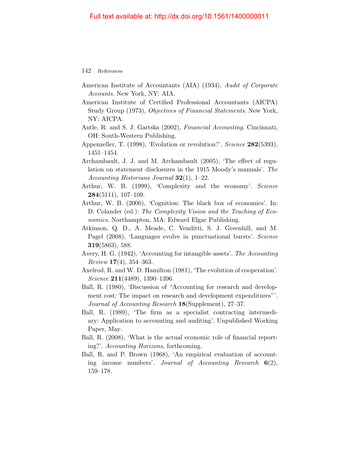- American Institute of Accountants (AIA) (1934), Audit of Corporate Accounts. New York, NY: AIA.
- American Institute of Certified Professional Accountants (AICPA) Study Group (1973), Objectives of Financial Statements. New York, NY: AICPA.
- Antle, R. and S. J. Gartska (2002), Financial Accounting. Cincinnati, OH: South-Western Publishing.
- Appenzeller, T. (1998), 'Evolution or revolution?'. Science 282(5393), 1451–1454.
- Archambault, J. J. and M. Archambault (2005), 'The effect of regulation on statement disclosures in the 1915 Moody's manuals'. The Accounting Historians Journal  $32(1)$ , 1–22.
- Arthur, W. B. (1999), 'Complexity and the economy'. Science  $284(5111), 107-109.$
- Arthur, W. B. (2000), 'Cognition: The black box of economics'. In: D. Colander (ed.): The Complexity Vision and the Teaching of Economics. Northampton, MA: Edward Elgar Publishing.
- Atkinson, Q. D., A. Meade, C. Venditti, S. J. Greenhill, and M. Pagel (2008), 'Languages evolve in punctuational bursts'. Science 319(5863), 588.
- Avery, H. G. (1942), 'Accounting for intangible assets'. The Accounting  $Review 17(4), 354-363.$
- Axelrod, R. and W. D. Hamilton (1981), 'The evolution of cooperation'. Science 211(4489), 1390–1396.
- Ball, R. (1980), 'Discussion of "Accounting for research and development cost: The impact on research and development expenditures"'. Journal of Accounting Research 18(Supplement), 27–37.
- Ball, R. (1989), 'The firm as a specialist contracting intermediary: Application to accounting and auditing'. Unpublished Working Paper, May.
- Ball, R. (2008), 'What is the actual economic role of financial reporting?'. Accounting Horizons, forthcoming.
- Ball, R. and P. Brown (1968), 'An empirical evaluation of accounting income numbers'. Journal of Accounting Research  $6(2)$ , 159–178.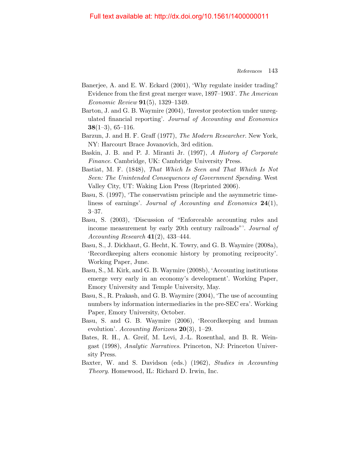#### Full text available at: http://dx.doi.org/10.1561/1400000011

- Banerjee, A. and E. W. Eckard (2001), 'Why regulate insider trading? Evidence from the first great merger wave, 1897–1903'. The American Economic Review 91(5), 1329–1349.
- <span id="page-15-2"></span>Barton, J. and G. B. Waymire (2004), 'Investor protection under unregulated financial reporting'. Journal of Accounting and Economics  $38(1-3), 65-116.$
- Barzun, J. and H. F. Graff (1977), The Modern Researcher. New York, NY: Harcourt Brace Jovanovich, 3rd edition.
- Baskin, J. B. and P. J. Miranti Jr. (1997), A History of Corporate Finance. Cambridge, UK: Cambridge University Press.
- <span id="page-15-1"></span>Bastiat, M. F. (1848), That Which Is Seen and That Which Is Not Seen: The Unintended Consequences of Government Spending. West Valley City, UT: Waking Lion Press (Reprinted 2006).
- Basu, S. (1997), 'The conservatism principle and the asymmetric timeliness of earnings'. Journal of Accounting and Economics 24(1), 3–37.
- Basu, S. (2003), 'Discussion of "Enforceable accounting rules and income measurement by early 20th century railroads"'. Journal of Accounting Research  $41(2)$ , 433-444.
- Basu, S., J. Dickhaut, G. Hecht, K. Towry, and G. B. Waymire (2008a), 'Recordkeeping alters economic history by promoting reciprocity'. Working Paper, June.
- Basu, S., M. Kirk, and G. B. Waymire (2008b), 'Accounting institutions emerge very early in an economy's development'. Working Paper, Emory University and Temple University, May.
- Basu, S., R. Prakash, and G. B. Waymire (2004), 'The use of accounting numbers by information intermediaries in the pre-SEC era'. Working Paper, Emory University, October.
- <span id="page-15-0"></span>Basu, S. and G. B. Waymire (2006), 'Recordkeeping and human evolution'. Accounting Horizons  $20(3)$ , 1–29.
- Bates, R. H., A. Greif, M. Levi, J.-L. Rosenthal, and B. R. Weingast (1998), Analytic Narratives. Princeton, NJ: Princeton University Press.
- Baxter, W. and S. Davidson (eds.) (1962), Studies in Accounting Theory. Homewood, IL: Richard D. Irwin, Inc.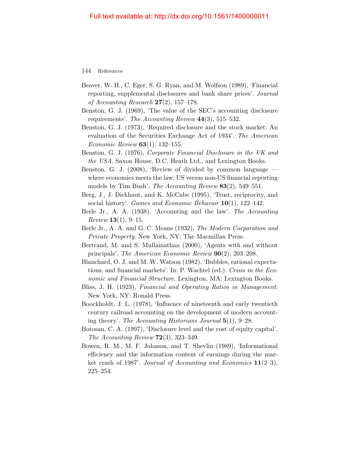- Beaver, W. H., C. Eger, S. G. Ryan, and M. Wolfson (1989), 'Financial reporting, supplemental disclosures and bank share prices'. Journal of Accounting Research  $27(2)$ , 157–178.
- <span id="page-16-0"></span>Benston, G. J. (1969), 'The value of the SEC's accounting disclosure requirements'. The Accounting Review  $44(3)$ , 515–532.
- <span id="page-16-1"></span>Benston, G. J. (1973), 'Required disclosure and the stock market: An evaluation of the Securities Exchange Act of 1934'. The American *Economic Review*  $63(1)$ , 132-155.
- Benston, G. J. (1976), Corporate Financial Disclosure in the UK and the USA. Saxon House, D.C. Heath Ltd., and Lexington Books.
- Benston, G. J. (2008), 'Review of divided by common language where economics meets the law: US versus non-US financial reporting models by Tim Bush'. The Accounting Review 83(2), 549–551.
- Berg, J., J. Dickhaut, and K. McCabe (1995), 'Trust, reciprocity, and social history'. *Games and Economic Behavior* 10(1), 122–142.
- Berle Jr., A. A. (1938), 'Accounting and the law'. The Accounting  $Review 13(1), 9-15.$
- Berle Jr., A. A. and G. C. Means (1932), The Modern Corporation and Private Property. New York, NY: The Macmillan Press.
- Bertrand, M. and S. Mullainathan (2000), 'Agents with and without principals'. The American Economic Review 90(2), 203–208.
- Blanchard, O. J. and M. W. Watson (1982), 'Bubbles, rational expectations, and financial markets'. In: P. Wachtel (ed.): Crisis in the Economic and Financial Structure. Lexington, MA: Lexington Books.
- Bliss, J. H. (1923), Financial and Operating Ratios in Management. New York, NY: Ronald Press.
- Boockholdt, J. L. (1978), 'Influence of nineteenth and early twentieth century railroad accounting on the development of modern accounting theory'. The Accounting Historians Journal 5(1), 9–28.
- Botosan, C. A. (1997), 'Disclosure level and the cost of equity capital'. The Accounting Review  $72(3)$ , 323-349.
- Bowen, R. M., M. F. Johnson, and T. Shevlin (1989), 'Informational efficiency and the information content of earnings during the market crash of 1987'. Journal of Accounting and Economics  $11(2-3)$ , 225–254.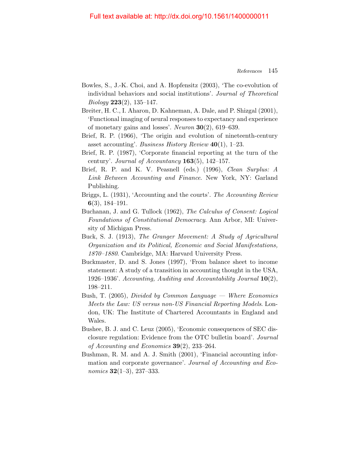#### Full text available at: http://dx.doi.org/10.1561/1400000011

- Bowles, S., J.-K. Choi, and A. Hopfensitz (2003), 'The co-evolution of individual behaviors and social institutions'. Journal of Theoretical  $Biology 223(2), 135-147.$
- Breiter, H. C., I. Aharon, D. Kahneman, A. Dale, and P. Shizgal (2001), 'Functional imaging of neural responses to expectancy and experience of monetary gains and losses'. Neuron 30(2), 619–639.
- Brief, R. P. (1966), 'The origin and evolution of nineteenth-century asset accounting'. Business History Review  $40(1)$ , 1–23.
- Brief, R. P. (1987), 'Corporate financial reporting at the turn of the century'. Journal of Accountancy  $163(5)$ ,  $142-157$ .
- Brief, R. P. and K. V. Peasnell (eds.) (1996), *Clean Surplus: A* Link Between Accounting and Finance. New York, NY: Garland Publishing.
- Briggs, L. (1931), 'Accounting and the courts'. The Accounting Review 6(3), 184–191.
- Buchanan, J. and G. Tullock (1962), The Calculus of Consent: Logical Foundations of Constitutional Democracy. Ann Arbor, MI: University of Michigan Press.
- Buck, S. J. (1913), The Granger Movement: A Study of Agricultural Organization and its Political, Economic and Social Manifestations, 1870–1880. Cambridge, MA: Harvard University Press.
- Buckmaster, D. and S. Jones (1997), 'From balance sheet to income statement: A study of a transition in accounting thought in the USA, 1926–1936'. Accounting, Auditing and Accountability Journal  $10(2)$ , 198–211.
- Bush, T.  $(2005)$ , *Divided by Common Language* Where *Economics* Meets the Law: US versus non-US Financial Reporting Models. London, UK: The Institute of Chartered Accountants in England and Wales.
- Bushee, B. J. and C. Leuz (2005), 'Economic consequences of SEC disclosure regulation: Evidence from the OTC bulletin board'. Journal of Accounting and Economics  $39(2)$ , 233–264.
- <span id="page-17-0"></span>Bushman, R. M. and A. J. Smith (2001), 'Financial accounting information and corporate governance'. Journal of Accounting and Economics  $32(1-3)$ , 237-333.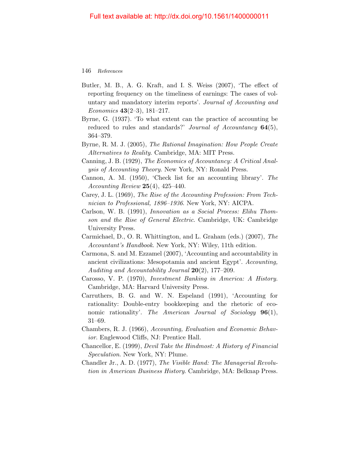- Butler, M. B., A. G. Kraft, and I. S. Weiss (2007), 'The effect of reporting frequency on the timeliness of earnings: The cases of voluntary and mandatory interim reports'. Journal of Accounting and Economics 43(2–3), 181–217.
- Byrne, G. (1937). 'To what extent can the practice of accounting be reduced to rules and standards?' Journal of Accountancy  $64(5)$ , 364–379.
- Byrne, R. M. J. (2005), The Rational Imagination: How People Create Alternatives to Reality. Cambridge, MA: MIT Press.
- Canning, J. B. (1929), The Economics of Accountancy: A Critical Analysis of Accounting Theory. New York, NY: Ronald Press.
- Cannon, A. M. (1950), 'Check list for an accounting library'. The Accounting Review  $25(4)$ ,  $425-440$ .
- Carey, J. L. (1969), The Rise of the Accounting Profession: From Technician to Professional, 1896–1936. New York, NY: AICPA.
- Carlson, W. B. (1991), Innovation as a Social Process: Elihu Thomson and the Rise of General Electric. Cambridge, UK: Cambridge University Press.
- Carmichael, D., O. R. Whittington, and L. Graham (eds.) (2007), The Accountant's Handbook. New York, NY: Wiley, 11th edition.
- Carmona, S. and M. Ezzamel (2007), 'Accounting and accountability in ancient civilizations: Mesopotamia and ancient Egypt'. Accounting, Auditing and Accountability Journal 20(2), 177–209.
- Carosso, V. P. (1970), Investment Banking in America: A History. Cambridge, MA: Harvard University Press.
- Carruthers, B. G. and W. N. Espeland (1991), 'Accounting for rationality: Double-entry bookkeeping and the rhetoric of economic rationality'. The American Journal of Sociology **96**(1), 31–69.
- Chambers, R. J. (1966), Accounting, Evaluation and Economic Behavior. Englewood Cliffs, NJ: Prentice Hall.
- Chancellor, E. (1999), Devil Take the Hindmost: A History of Financial Speculation. New York, NY: Plume.
- Chandler Jr., A. D. (1977), The Visible Hand: The Managerial Revolution in American Business History. Cambridge, MA: Belknap Press.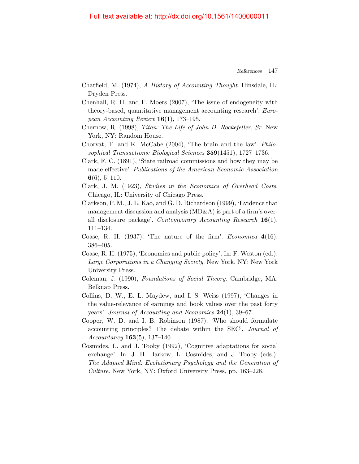- Chatfield, M. (1974), A History of Accounting Thought. Hinsdale, IL: Dryden Press.
- Chenhall, R. H. and F. Moers (2007), 'The issue of endogeneity with theory-based, quantitative management accounting research'. European Accounting Review  $16(1)$ , 173-195.
- Chernow, R. (1998), Titan: The Life of John D. Rockefeller, Sr. New York, NY: Random House.
- Chorvat, T. and K. McCabe (2004), 'The brain and the law'. Philosophical Transactions: Biological Sciences 359(1451), 1727–1736.
- Clark, F. C. (1891), 'State railroad commissions and how they may be made effective'. Publications of the American Economic Association  $6(6), 5-110.$
- Clark, J. M. (1923), Studies in the Economics of Overhead Costs. Chicago, IL: University of Chicago Press.
- Clarkson, P. M., J. L. Kao, and G. D. Richardson (1999), 'Evidence that management discussion and analysis  $(MD\&A)$  is part of a firm's overall disclosure package'. Contemporary Accounting Research 16(1), 111–134.
- Coase, R. H. (1937), 'The nature of the firm'. Economica 4(16), 386–405.
- Coase, R. H. (1975), 'Economics and public policy'. In: F. Weston (ed.): Large Corporations in a Changing Society. New York, NY: New York University Press.
- Coleman, J. (1990), Foundations of Social Theory. Cambridge, MA: Belknap Press.
- Collins, D. W., E. L. Maydew, and I. S. Weiss (1997), 'Changes in the value-relevance of earnings and book values over the past forty years'. Journal of Accounting and Economics 24(1), 39–67.
- Cooper, W. D. and I. B. Robinson (1987), 'Who should formulate accounting principles? The debate within the SEC'. Journal of Accountancy 163(5), 137–140.
- Cosmides, L. and J. Tooby (1992), 'Cognitive adaptations for social exchange'. In: J. H. Barkow, L. Cosmides, and J. Tooby (eds.): The Adapted Mind: Evolutionary Psychology and the Generation of Culture. New York, NY: Oxford University Press, pp. 163–228.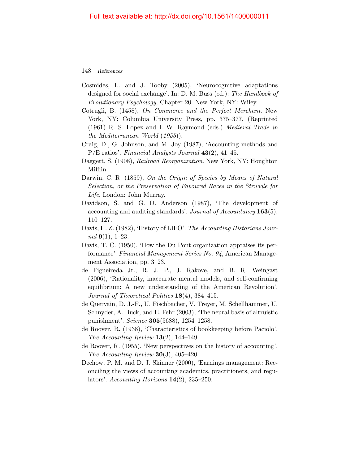- Cosmides, L. and J. Tooby (2005), 'Neurocognitive adaptations designed for social exchange'. In: D. M. Buss (ed.): The Handbook of Evolutionary Psychology, Chapter 20. New York, NY: Wiley.
- Cotrugli, B. (1458), On Commerce and the Perfect Merchant. New York, NY: Columbia University Press, pp. 375–377, (Reprinted (1961) R. S. Lopez and I. W. Raymond (eds.) Medieval Trade in the Mediterranean World (1955)).
- Craig, D., G. Johnson, and M. Joy (1987), 'Accounting methods and  $P/E$  ratios'. Financial Analysts Journal  $43(2)$ , 41–45.
- Daggett, S. (1908), Railroad Reorganization. New York, NY: Houghton Mifflin.
- Darwin, C. R. (1859), On the Origin of Species by Means of Natural Selection, or the Preservation of Favoured Races in the Struggle for Life. London: John Murray.
- Davidson, S. and G. D. Anderson (1987), 'The development of accounting and auditing standards'. Journal of Accountancy 163(5), 110–127.
- Davis, H. Z. (1982), 'History of LIFO'. The Accounting Historians Journal  $9(1)$ , 1–23.
- Davis, T. C. (1950), 'How the Du Pont organization appraises its performance'. Financial Management Series No. 94, American Management Association, pp. 3–23.
- de Figueireda Jr., R. J. P., J. Rakove, and B. R. Weingast (2006), 'Rationality, inaccurate mental models, and self-confirming equilibrium: A new understanding of the American Revolution'. Journal of Theoretical Politics 18(4), 384–415.
- de Quervain, D. J.-F., U. Fischbacher, V. Treyer, M. Schellhammer, U. Schnyder, A. Buck, and E. Fehr (2003), 'The neural basis of altruistic punishment'. Science 305(5688), 1254–1258.
- de Roover, R. (1938), 'Characteristics of bookkeeping before Paciolo'. The Accounting Review  $13(2)$ , 144–149.
- de Roover, R. (1955), 'New perspectives on the history of accounting'. The Accounting Review  $30(3)$ , 405-420.
- Dechow, P. M. and D. J. Skinner (2000), 'Earnings management: Reconciling the views of accounting academics, practitioners, and regulators'. Accounting Horizons  $14(2)$ , 235–250.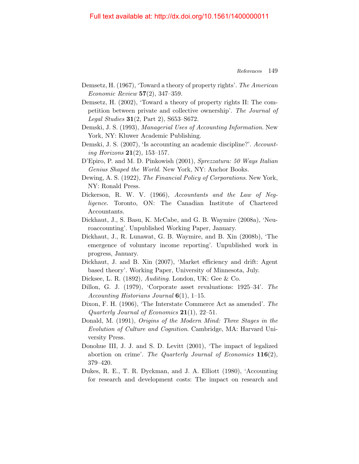- Demsetz, H. (1967), 'Toward a theory of property rights'. The American Economic Review 57(2), 347–359.
- Demsetz, H. (2002), 'Toward a theory of property rights II: The competition between private and collective ownership'. The Journal of Legal Studies 31(2, Part 2), S653–S672.
- Demski, J. S. (1993), Managerial Uses of Accounting Information. New York, NY: Kluwer Academic Publishing.
- Demski, J. S. (2007), 'Is accounting an academic discipline?'. Accounting Horizons  $21(2)$ , 153-157.
- D'Epiro, P. and M. D. Pinkowish (2001), Sprezzatura: 50 Ways Italian Genius Shaped the World. New York, NY: Anchor Books.
- Dewing, A. S. (1922), The Financial Policy of Corporations. New York, NY: Ronald Press.
- Dickerson, R. W. V. (1966), Accountants and the Law of Negligence. Toronto, ON: The Canadian Institute of Chartered Accountants.
- Dickhaut, J., S. Basu, K. McCabe, and G. B. Waymire (2008a), 'Neuroaccounting'. Unpublished Working Paper, January.
- Dickhaut, J., R. Lunawat, G. B. Waymire, and B. Xin (2008b), 'The emergence of voluntary income reporting'. Unpublished work in progress, January.
- Dickhaut, J. and B. Xin (2007), 'Market efficiency and drift: Agent based theory'. Working Paper, University of Minnesota, July.
- Dicksee, L. R. (1892), Auditing. London, UK: Gee & Co.
- Dillon, G. J. (1979), 'Corporate asset revaluations: 1925–34'. The Accounting Historians Journal  $6(1)$ , 1–15.
- Dixon, F. H. (1906), 'The Interstate Commerce Act as amended'. The Quarterly Journal of Economics  $21(1)$ ,  $22-51$ .
- Donald, M. (1991), Origins of the Modern Mind: Three Stages in the Evolution of Culture and Cognition. Cambridge, MA: Harvard University Press.
- Donohue III, J. J. and S. D. Levitt (2001), 'The impact of legalized abortion on crime'. The Quarterly Journal of Economics  $116(2)$ , 379–420.
- Dukes, R. E., T. R. Dyckman, and J. A. Elliott (1980), 'Accounting for research and development costs: The impact on research and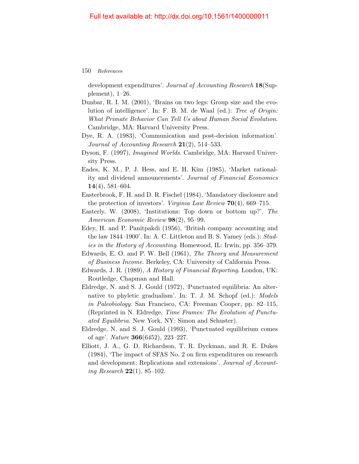development expenditures'. Journal of Accounting Research 18(Supplement), 1–26.

- Dunbar, R. I. M. (2001), 'Brains on two legs: Group size and the evolution of intelligence'. In: F. B. M. de Waal (ed.): Tree of Origin: What Primate Behavior Can Tell Us about Human Social Evolution. Cambridge, MA: Harvard University Press.
- Dye, R. A. (1983), 'Communication and post-decision information'. Journal of Accounting Research  $21(2)$ , 514–533.
- Dyson, F. (1997), Imagined Worlds. Cambridge, MA: Harvard University Press.
- Eades, K. M., P. J. Hess, and E. H. Kim (1985), 'Market rationality and dividend announcements'. Journal of Financial Economics  $14(4)$ , 581–604.
- Easterbrook, F. H. and D. R. Fischel (1984), 'Mandatory disclosure and the protection of investors'. Virginia Law Review 70(4), 669–715.
- Easterly, W. (2008), 'Institutions: Top down or bottom up?'. The American Economic Review 98(2), 95–99.
- Edey, H. and P. Panitpakdi (1956), 'British company accounting and the law 1844–1900'. In: A. C. Littleton and B. S. Yamey (eds.): Studies in the History of Accounting. Homewood, IL: Irwin, pp. 356–379.
- Edwards, E. O. and P. W. Bell (1961), The Theory and Measurement of Business Income. Berkeley, CA: University of California Press.
- Edwards, J. R. (1989), A History of Financial Reporting. London, UK: Routledge, Chapman and Hall.
- Eldredge, N. and S. J. Gould (1972), 'Punctuated equilibria: An alternative to phyletic gradualism'. In: T. J. M. Schopf (ed.): Models in Paleobiology. San Francisco, CA: Freeman Cooper, pp. 82–115, (Reprinted in N. Eldredge, Time Frames: The Evolution of Punctuated Equilibria. New York, NY: Simon and Schuster).
- Eldredge, N. and S. J. Gould (1993), 'Punctuated equilibrium comes of age'. Nature 366(6452), 223–227.
- Elliott, J. A., G. D. Richardson, T. R. Dyckman, and R. E. Dukes (1984), 'The impact of SFAS No. 2 on firm expenditures on research and development: Replications and extensions'. Journal of Accounting Research 22(1), 85–102.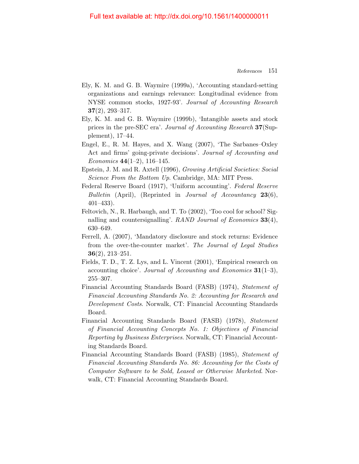- Ely, K. M. and G. B. Waymire (1999a), 'Accounting standard-setting organizations and earnings relevance: Longitudinal evidence from NYSE common stocks, 1927-93'. Journal of Accounting Research 37(2), 293–317.
- Ely, K. M. and G. B. Waymire (1999b), 'Intangible assets and stock prices in the pre-SEC era'. Journal of Accounting Research 37(Supplement), 17–44.
- Engel, E., R. M. Hayes, and X. Wang (2007), 'The Sarbanes–Oxley Act and firms' going-private decisions'. Journal of Accounting and Economics  $44(1-2)$ , 116-145.
- Epstein, J. M. and R. Axtell (1996), Growing Artificial Societies: Social Science From the Bottom Up. Cambridge, MA: MIT Press.
- Federal Reserve Board (1917), 'Uniform accounting'. Federal Reserve Bulletin (April), (Reprinted in Journal of Accountancy  $23(6)$ , 401–433).
- Feltovich, N., R. Harbaugh, and T. To (2002), 'Too cool for school? Signalling and countersignalling'. RAND Journal of Economics 33(4), 630–649.
- Ferrell, A. (2007), 'Mandatory disclosure and stock returns: Evidence from the over-the-counter market'. The Journal of Legal Studies  $36(2), 213-251.$
- Fields, T. D., T. Z. Lys, and L. Vincent (2001), 'Empirical research on accounting choice'. Journal of Accounting and Economics  $31(1-3)$ , 255–307.
- Financial Accounting Standards Board (FASB) (1974), Statement of Financial Accounting Standards No. 2: Accounting for Research and Development Costs. Norwalk, CT: Financial Accounting Standards Board.
- Financial Accounting Standards Board (FASB) (1978), Statement of Financial Accounting Concepts No. 1: Objectives of Financial Reporting by Business Enterprises. Norwalk, CT: Financial Accounting Standards Board.
- Financial Accounting Standards Board (FASB) (1985), Statement of Financial Accounting Standards No. 86: Accounting for the Costs of Computer Software to be Sold, Leased or Otherwise Marketed. Norwalk, CT: Financial Accounting Standards Board.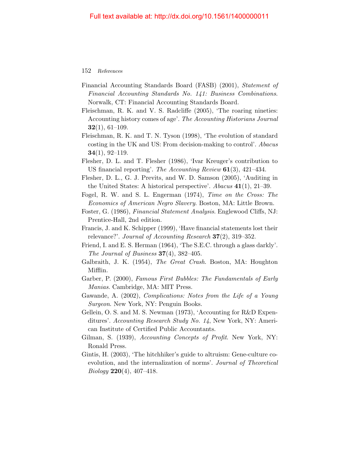- Financial Accounting Standards Board (FASB) (2001), Statement of Financial Accounting Standards No. 141: Business Combinations. Norwalk, CT: Financial Accounting Standards Board.
- <span id="page-24-0"></span>Fleischman, R. K. and V. S. Radcliffe (2005), 'The roaring nineties: Accounting history comes of age'. The Accounting Historians Journal  $32(1), 61-109.$
- Fleischman, R. K. and T. N. Tyson (1998), 'The evolution of standard costing in the UK and US: From decision-making to control'. Abacus  $34(1), 92-119.$
- Flesher, D. L. and T. Flesher (1986), 'Ivar Kreuger's contribution to US financial reporting'. The Accounting Review  $61(3)$ , 421–434.
- Flesher, D. L., G. J. Previts, and W. D. Samson (2005), 'Auditing in the United States: A historical perspective'. Abacus  $41(1)$ ,  $21-39$ .
- Fogel, R. W. and S. L. Engerman (1974), Time on the Cross: The Economics of American Negro Slavery. Boston, MA: Little Brown.
- Foster, G. (1986), Financial Statement Analysis. Englewood Cliffs, NJ: Prentice-Hall, 2nd edition.
- Francis, J. and K. Schipper (1999), 'Have financial statements lost their relevance?'. Journal of Accounting Research 37(2), 319–352.
- Friend, I. and E. S. Herman (1964), 'The S.E.C. through a glass darkly'. The Journal of Business  $37(4)$ ,  $382-405$ .
- Galbraith, J. K. (1954), The Great Crash. Boston, MA: Houghton Mifflin.
- Garber, P. (2000), Famous First Bubbles: The Fundamentals of Early Manias. Cambridge, MA: MIT Press.
- Gawande, A. (2002), Complications: Notes from the Life of a Young Surgeon. New York, NY: Penguin Books.
- Gellein, O. S. and M. S. Newman (1973), 'Accounting for R&D Expenditures'. Accounting Research Study No. 14, New York, NY: American Institute of Certified Public Accountants.
- Gilman, S. (1939), Accounting Concepts of Profit. New York, NY: Ronald Press.
- Gintis, H. (2003), 'The hitchhiker's guide to altruism: Gene-culture coevolution, and the internalization of norms'. Journal of Theoretical  $Biology 220(4), 407-418.$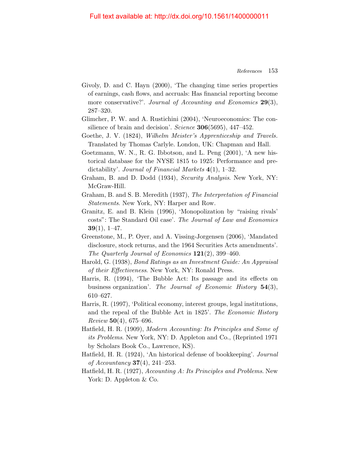#### Full text available at: http://dx.doi.org/10.1561/1400000011

- Givoly, D. and C. Hayn (2000), 'The changing time series properties of earnings, cash flows, and accruals: Has financial reporting become more conservative?'. Journal of Accounting and Economics 29(3), 287–320.
- Glimcher, P. W. and A. Rustichini (2004), 'Neuroeconomics: The consilience of brain and decision'. Science  $306(5695)$ , 447-452.
- Goethe, J. V. (1824), Wilhelm Meister's Apprenticeship and Travels. Translated by Thomas Carlyle. London, UK: Chapman and Hall.
- Goetzmann, W. N., R. G. Ibbotson, and L. Peng (2001), 'A new historical database for the NYSE 1815 to 1925: Performance and predictability'. Journal of Financial Markets 4(1), 1–32.
- Graham, B. and D. Dodd (1934), Security Analysis. New York, NY: McGraw-Hill.
- Graham, B. and S. B. Meredith (1937), The Interpretation of Financial Statements. New York, NY: Harper and Row.
- Granitz, E. and B. Klein (1996), 'Monopolization by "raising rivals' costs": The Standard Oil case'. The Journal of Law and Economics  $39(1), 1-47.$
- Greenstone, M., P. Oyer, and A. Vissing-Jorgensen (2006), 'Mandated disclosure, stock returns, and the 1964 Securities Acts amendments'. The Quarterly Journal of Economics  $121(2)$ , 399-460.
- Harold, G. (1938), Bond Ratings as an Investment Guide: An Appraisal of their Effectiveness. New York, NY: Ronald Press.
- Harris, R. (1994), 'The Bubble Act: Its passage and its effects on business organization'. The Journal of Economic History 54(3), 610–627.
- Harris, R. (1997), 'Political economy, interest groups, legal institutions, and the repeal of the Bubble Act in 1825'. The Economic History  $Review 50(4), 675-696.$
- Hatfield, H. R. (1909), Modern Accounting: Its Principles and Some of its Problems. New York, NY: D. Appleton and Co., (Reprinted 1971 by Scholars Book Co., Lawrence, KS).
- <span id="page-25-0"></span>Hatfield, H. R. (1924), 'An historical defense of bookkeeping'. Journal of Accountancy **37**(4), 241–253.
- Hatfield, H. R. (1927), Accounting A: Its Principles and Problems. New York: D. Appleton & Co.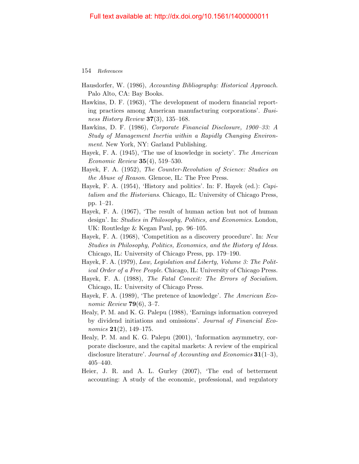- Hausdorfer, W. (1986), Accounting Bibliography: Historical Approach. Palo Alto, CA: Bay Books.
- Hawkins, D. F. (1963), 'The development of modern financial reporting practices among American manufacturing corporations'. Business History Review 37(3), 135–168.
- Hawkins, D. F. (1986), Corporate Financial Disclosure, 1900–33: A Study of Management Inertia within a Rapidly Changing Environment. New York, NY: Garland Publishing.
- Hayek, F. A. (1945), 'The use of knowledge in society'. The American *Economic Review* **35** $(4)$ , 519–530.
- Hayek, F. A. (1952), The Counter-Revolution of Science: Studies on the Abuse of Reason. Glencoe, IL: The Free Press.
- <span id="page-26-0"></span>Hayek, F. A. (1954), 'History and politics'. In: F. Hayek (ed.): Capitalism and the Historians. Chicago, IL: University of Chicago Press, pp. 1–21.
- Hayek, F. A. (1967), 'The result of human action but not of human design'. In: Studies in Philosophy, Politics, and Economics. London, UK: Routledge & Kegan Paul, pp. 96–105.
- Hayek, F. A. (1968), 'Competition as a discovery procedure'. In: New Studies in Philosophy, Politics, Economics, and the History of Ideas. Chicago, IL: University of Chicago Press, pp. 179–190.
- Hayek, F. A. (1979), Law, Legislation and Liberty, Volume 3: The Political Order of a Free People. Chicago, IL: University of Chicago Press.
- Hayek, F. A. (1988), The Fatal Conceit: The Errors of Socialism. Chicago, IL: University of Chicago Press.
- <span id="page-26-1"></span>Hayek, F. A. (1989), 'The pretence of knowledge'. The American Economic Review  $79(6)$ , 3-7.
- Healy, P. M. and K. G. Palepu (1988), 'Earnings information conveyed by dividend initiations and omissions'. Journal of Financial Economics  $21(2)$ , 149–175.
- Healy, P. M. and K. G. Palepu (2001), 'Information asymmetry, corporate disclosure, and the capital markets: A review of the empirical disclosure literature'. Journal of Accounting and Economics  $31(1-3)$ , 405–440.
- Heier, J. R. and A. L. Gurley (2007), 'The end of betterment accounting: A study of the economic, professional, and regulatory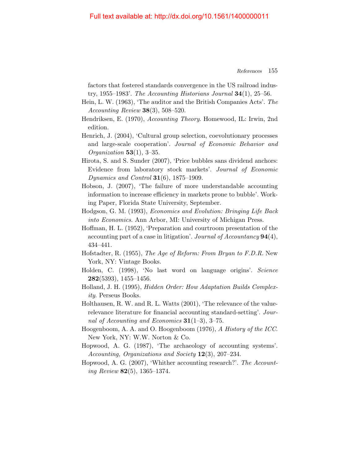factors that fostered standards convergence in the US railroad industry, 1955–1983'. The Accounting Historians Journal  $34(1)$ , 25–56.

- Hein, L. W. (1963), 'The auditor and the British Companies Acts'. The  $Accounting Review 38(3), 508-520.$
- Hendriksen, E. (1970), Accounting Theory. Homewood, IL: Irwin, 2nd edition.
- Henrich, J. (2004), 'Cultural group selection, coevolutionary processes and large-scale cooperation'. Journal of Economic Behavior and *Organization* 53(1), 3-35.
- Hirota, S. and S. Sunder (2007), 'Price bubbles sans dividend anchors: Evidence from laboratory stock markets'. Journal of Economic Dynamics and Control  $31(6)$ , 1875–1909.
- Hobson, J. (2007), 'The failure of more understandable accounting information to increase efficiency in markets prone to bubble'. Working Paper, Florida State University, September.
- Hodgson, G. M. (1993), Economics and Evolution: Bringing Life Back into Economics. Ann Arbor, MI: University of Michigan Press.
- Hoffman, H. L. (1952), 'Preparation and courtroom presentation of the accounting part of a case in litigation'. Journal of Accountancy 94(4), 434–441.
- Hofstadter, R. (1955), The Age of Reform: From Bryan to F.D.R. New York, NY: Vintage Books.
- Holden, C. (1998), 'No last word on language origins'. Science 282(5393), 1455–1456.
- Holland, J. H. (1995), Hidden Order: How Adaptation Builds Complexity. Perseus Books.
- Holthausen, R. W. and R. L. Watts (2001), 'The relevance of the valuerelevance literature for financial accounting standard-setting'. Journal of Accounting and Economics  $31(1-3)$ , 3-75.
- Hoogenboom, A. A. and O. Hoogenboom (1976), A History of the ICC. New York, NY: W.W. Norton & Co.
- Hopwood, A. G. (1987), 'The archaeology of accounting systems'. Accounting, Organizations and Society 12(3), 207-234.
- Hopwood, A. G. (2007), 'Whither accounting research?'. The Accounting Review 82(5), 1365–1374.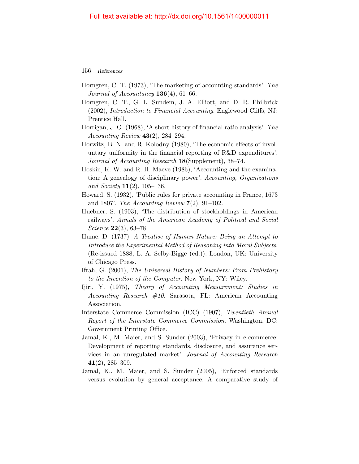- Horngren, C. T. (1973), 'The marketing of accounting standards'. The Journal of Accountancy  $136(4)$ , 61–66.
- Horngren, C. T., G. L. Sundem, J. A. Elliott, and D. R. Philbrick (2002), Introduction to Financial Accounting. Englewood Cliffs, NJ: Prentice Hall.
- Horrigan, J. O. (1968), 'A short history of financial ratio analysis'. The Accounting Review  $43(2)$ , 284–294.
- Horwitz, B. N. and R. Kolodny (1980), 'The economic effects of involuntary uniformity in the financial reporting of R&D expenditures'. Journal of Accounting Research 18(Supplement), 38-74.
- Hoskin, K. W. and R. H. Macve (1986), 'Accounting and the examination: A genealogy of disciplinary power'. Accounting, Organizations and Society  $11(2)$ , 105-136.
- Howard, S. (1932), 'Public rules for private accounting in France, 1673 and 1807'. The Accounting Review  $7(2)$ , 91-102.
- Huebner, S. (1903), 'The distribution of stockholdings in American railways'. Annals of the American Academy of Political and Social Science **22**(3), 63–78.
- Hume, D. (1737). A Treatise of Human Nature: Being an Attempt to Introduce the Experimental Method of Reasoning into Moral Subjects, (Re-issued 1888, L. A. Selby-Bigge (ed.)). London, UK: University of Chicago Press.
- Ifrah, G. (2001), The Universal History of Numbers: From Prehistory to the Invention of the Computer. New York, NY: Wiley.
- <span id="page-28-0"></span>Ijiri, Y. (1975), Theory of Accounting Measurement: Studies in Accounting Research  $#10$ . Sarasota, FL: American Accounting Association.
- Interstate Commerce Commission (ICC) (1907), Twentieth Annual Report of the Interstate Commerce Commission. Washington, DC: Government Printing Office.
- Jamal, K., M. Maier, and S. Sunder (2003), 'Privacy in e-commerce: Development of reporting standards, disclosure, and assurance services in an unregulated market'. Journal of Accounting Research  $41(2), 285-309.$
- Jamal, K., M. Maier, and S. Sunder (2005), 'Enforced standards versus evolution by general acceptance: A comparative study of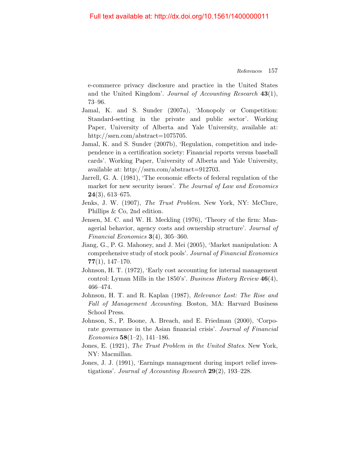e-commerce privacy disclosure and practice in the United States and the United Kingdom'. Journal of Accounting Research 43(1), 73–96.

- Jamal, K. and S. Sunder (2007a), 'Monopoly or Competition: Standard-setting in the private and public sector'. Working Paper, University of Alberta and Yale University, available at: http://ssrn.com/abstract=1075705.
- Jamal, K. and S. Sunder (2007b), 'Regulation, competition and independence in a certification society: Financial reports versus baseball cards'. Working Paper, University of Alberta and Yale University, available at: http://ssrn.com/abstract=912703.
- Jarrell, G. A. (1981), 'The economic effects of federal regulation of the market for new security issues'. The Journal of Law and Economics  $24(3)$ , 613–675.
- Jenks, J. W. (1907), The Trust Problem. New York, NY: McClure, Phillips & Co, 2nd edition.
- Jensen, M. C. and W. H. Meckling (1976), 'Theory of the firm: Managerial behavior, agency costs and ownership structure'. Journal of Financial Economics 3(4), 305–360.
- Jiang, G., P. G. Mahoney, and J. Mei (2005), 'Market manipulation: A comprehensive study of stock pools'. Journal of Financial Economics  $77(1), 147-170.$
- Johnson, H. T. (1972), 'Early cost accounting for internal management control: Lyman Mills in the 1850's'. Business History Review 46(4), 466–474.
- Johnson, H. T. and R. Kaplan (1987), Relevance Lost: The Rise and Fall of Management Accounting. Boston, MA: Harvard Business School Press.
- Johnson, S., P. Boone, A. Breach, and E. Friedman (2000), 'Corporate governance in the Asian financial crisis'. Journal of Financial Economics 58(1–2), 141–186.
- Jones, E. (1921), The Trust Problem in the United States. New York, NY: Macmillan.
- Jones, J. J. (1991), 'Earnings management during import relief investigations'. Journal of Accounting Research  $29(2)$ , 193–228.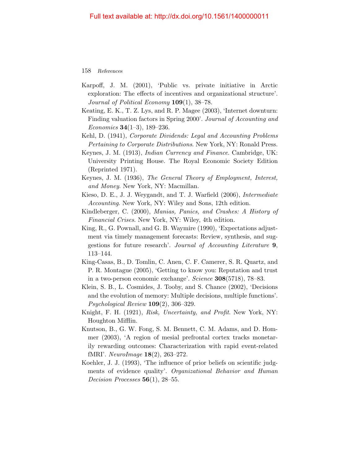- Karpoff, J. M. (2001), 'Public vs. private initiative in Arctic exploration: The effects of incentives and organizational structure'. Journal of Political Economy **109**(1), 38–78.
- Keating, E. K., T. Z. Lys, and R. P. Magee (2003), 'Internet downturn: Finding valuation factors in Spring 2000'. Journal of Accounting and Economics  $34(1-3)$ , 189-236.
- Kehl, D. (1941), Corporate Dividends: Legal and Accounting Problems Pertaining to Corporate Distributions. New York, NY: Ronald Press.
- Keynes, J. M. (1913), Indian Currency and Finance. Cambridge, UK: University Printing House. The Royal Economic Society Edition (Reprinted 1971).
- Keynes, J. M. (1936), The General Theory of Employment, Interest, and Money. New York, NY: Macmillan.
- Kieso, D. E., J. J. Weygandt, and T. J. Warfield (2006), Intermediate Accounting. New York, NY: Wiley and Sons, 12th edition.
- Kindleberger, C. (2000), Manias, Panics, and Crashes: A History of Financial Crises. New York, NY: Wiley, 4th edition.
- King, R., G. Pownall, and G. B. Waymire (1990), 'Expectations adjustment via timely management forecasts: Review, synthesis, and suggestions for future research'. Journal of Accounting Literature 9, 113–144.
- King-Casas, B., D. Tomlin, C. Anen, C. F. Camerer, S. R. Quartz, and P. R. Montague (2005), 'Getting to know you: Reputation and trust in a two-person economic exchange'. Science 308(5718), 78–83.
- Klein, S. B., L. Cosmides, J. Tooby, and S. Chance (2002), 'Decisions and the evolution of memory: Multiple decisions, multiple functions'.  $Psychological Review 109(2), 306-329.$
- Knight, F. H. (1921), Risk, Uncertainty, and Profit. New York, NY: Houghton Mifflin.
- Knutson, B., G. W. Fong, S. M. Bennett, C. M. Adams, and D. Hommer (2003), 'A region of mesial prefrontal cortex tracks monetarily rewarding outcomes: Characterization with rapid event-related fMRI'. NeuroImage 18(2), 263–272.
- Koehler, J. J. (1993), 'The influence of prior beliefs on scientific judgments of evidence quality'. Organizational Behavior and Human Decision Processes  $56(1)$ , 28-55.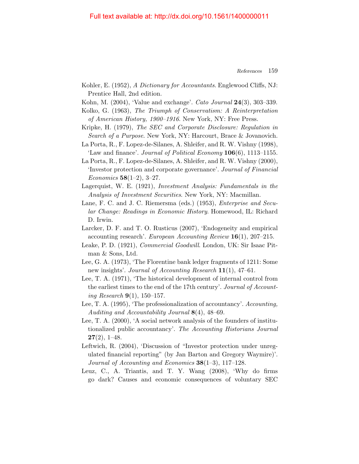- Kohler, E. (1952), A Dictionary for Accountants. Englewood Cliffs, NJ: Prentice Hall, 2nd edition.
- Kohn, M. (2004), 'Value and exchange'. Cato Journal 24(3), 303–339.
- Kolko, G. (1963), The Triumph of Conservatism: A Reinterpretation of American History, 1900–1916. New York, NY: Free Press.
- Kripke, H. (1979), The SEC and Corporate Disclosure: Regulation in Search of a Purpose. New York, NY: Harcourt, Brace & Jovanovich.
- La Porta, R., F. Lopez-de-Silanes, A. Shleifer, and R. W. Vishny (1998), 'Law and finance'. Journal of Political Economy  $106(6)$ , 1113–1155.
- La Porta, R., F. Lopez-de-Silanes, A. Shleifer, and R. W. Vishny (2000), 'Investor protection and corporate governance'. Journal of Financial Economics  $58(1-2)$ , 3-27.
- Lagerquist, W. E. (1921), Investment Analysis: Fundamentals in the Analysis of Investment Securities. New York, NY: Macmillan.
- Lane, F. C. and J. C. Riemersma (eds.) (1953), *Enterprise and Secu*lar Change: Readings in Economic History. Homewood, IL: Richard D. Irwin.
- Larcker, D. F. and T. O. Rusticus (2007), 'Endogeneity and empirical accounting research'. European Accounting Review  $16(1)$ , 207–215.
- Leake, P. D. (1921), Commercial Goodwill. London, UK: Sir Isaac Pitman & Sons, Ltd.
- Lee, G. A. (1973), 'The Florentine bank ledger fragments of 1211: Some new insights'. Journal of Accounting Research 11(1), 47–61.
- Lee, T. A. (1971), 'The historical development of internal control from the earliest times to the end of the 17th century'. Journal of Accounting Research  $9(1)$ , 150-157.
- Lee, T. A. (1995), 'The professionalization of accountancy'. Accounting, Auditing and Accountability Journal  $8(4)$ ,  $48-69$ .
- Lee, T. A. (2000), 'A social network analysis of the founders of institutionalized public accountancy'. The Accounting Historians Journal  $27(2), 1-48.$
- Leftwich, R. (2004), 'Discussion of "Investor protection under unregulated financial reporting" (by Jan Barton and Gregory Waymire)'. Journal of Accounting and Economics 38(1–3), 117–128.
- Leuz, C., A. Triantis, and T. Y. Wang (2008), 'Why do firms go dark? Causes and economic consequences of voluntary SEC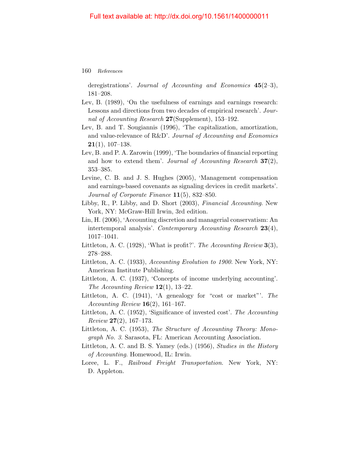deregistrations'. Journal of Accounting and Economics  $45(2-3)$ , 181–208.

- Lev, B. (1989), 'On the usefulness of earnings and earnings research: Lessons and directions from two decades of empirical research'. Journal of Accounting Research 27(Supplement), 153-192.
- Lev, B. and T. Sougiannis (1996), 'The capitalization, amortization, and value-relevance of R&D'. Journal of Accounting and Economics  $21(1), 107-138.$
- Lev, B. and P. A. Zarowin (1999), 'The boundaries of financial reporting and how to extend them'. Journal of Accounting Research  $37(2)$ , 353–385.
- Levine, C. B. and J. S. Hughes (2005), 'Management compensation and earnings-based covenants as signaling devices in credit markets'. Journal of Corporate Finance 11(5), 832–850.
- Libby, R., P. Libby, and D. Short (2003), Financial Accounting. New York, NY: McGraw-Hill Irwin, 3rd edition.
- Lin, H. (2006), 'Accounting discretion and managerial conservatism: An intertemporal analysis'. Contemporary Accounting Research 23(4), 1017–1041.
- Littleton, A. C. (1928), 'What is profit?'. The Accounting Review  $3(3)$ , 278–288.
- Littleton, A. C. (1933), Accounting Evolution to 1900. New York, NY: American Institute Publishing.
- Littleton, A. C. (1937), 'Concepts of income underlying accounting'. The Accounting Review  $12(1)$ , 13-22.
- Littleton, A. C. (1941), 'A genealogy for "cost or market"'. The Accounting Review  $16(2)$ , 161-167.
- Littleton, A. C. (1952), 'Significance of invested cost'. The Accounting  $Review 27(2), 167-173.$
- Littleton, A. C. (1953), The Structure of Accounting Theory: Monograph No. 3. Sarasota, FL: American Accounting Association.
- Littleton, A. C. and B. S. Yamey (eds.) (1956), Studies in the History of Accounting. Homewood, IL: Irwin.
- Loree, L. F., Railroad Freight Transportation. New York, NY: D. Appleton.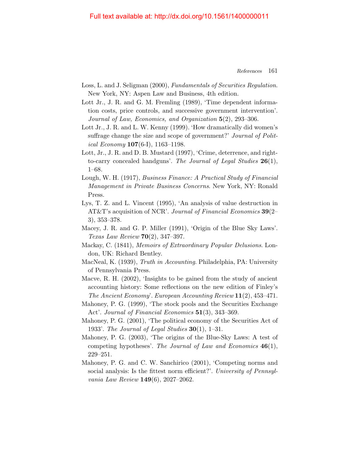#### Full text available at: http://dx.doi.org/10.1561/1400000011

- Loss, L. and J. Seligman (2000), Fundamentals of Securities Regulation. New York, NY: Aspen Law and Business, 4th edition.
- Lott Jr., J. R. and G. M. Fremling (1989), 'Time dependent information costs, price controls, and successive government intervention'. Journal of Law, Economics, and Organization 5(2), 293–306.
- Lott Jr., J. R. and L. W. Kenny (1999). 'How dramatically did women's suffrage change the size and scope of government?' *Journal of Polit*ical Economy  $107(6-I)$ , 1163-1198.
- Lott, Jr., J. R. and D. B. Mustard (1997), 'Crime, deterrence, and rightto-carry concealed handguns'. The Journal of Legal Studies 26(1), 1–68.
- Lough, W. H. (1917), Business Finance: A Practical Study of Financial Management in Private Business Concerns. New York, NY: Ronald Press.
- Lys, T. Z. and L. Vincent (1995), 'An analysis of value destruction in AT&T's acquisition of NCR'. Journal of Financial Economics 39(2– 3), 353–378.
- Macey, J. R. and G. P. Miller (1991), 'Origin of the Blue Sky Laws'. Texas Law Review 70(2), 347–397.
- Mackay, C. (1841), Memoirs of Extraordinary Popular Delusions. London, UK: Richard Bentley.
- MacNeal, K. (1939), Truth in Accounting. Philadelphia, PA: University of Pennsylvania Press.
- Macve, R. H. (2002), 'Insights to be gained from the study of ancient accounting history: Some reflections on the new edition of Finley's The Ancient Economy'. European Accounting Review 11(2), 453–471.
- Mahoney, P. G. (1999), 'The stock pools and the Securities Exchange Act'. Journal of Financial Economics 51(3), 343-369.
- Mahoney, P. G. (2001), 'The political economy of the Securities Act of 1933'. The Journal of Legal Studies  $30(1)$ , 1–31.
- Mahoney, P. G. (2003), 'The origins of the Blue-Sky Laws: A test of competing hypotheses'. The Journal of Law and Economics  $46(1)$ , 229–251.
- Mahoney, P. G. and C. W. Sanchirico (2001), 'Competing norms and social analysis: Is the fittest norm efficient?'. University of Pennsylvania Law Review 149(6), 2027–2062.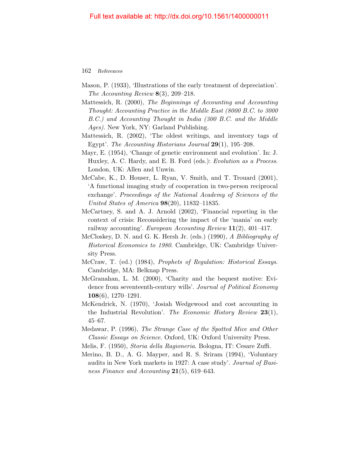- Mason, P. (1933), 'Illustrations of the early treatment of depreciation'. The Accounting Review  $8(3)$ , 209–218.
- Mattessich, R. (2000), The Beginnings of Accounting and Accounting Thought: Accounting Practice in the Middle East (8000 B.C. to 3000 B.C.) and Accounting Thought in India (300 B.C. and the Middle Ages). New York, NY: Garland Publishing.
- Mattessich, R. (2002), 'The oldest writings, and inventory tags of Egypt'. The Accounting Historians Journal 29(1), 195–208.
- Mayr, E. (1954), 'Change of genetic environment and evolution'. In: J. Huxley, A. C. Hardy, and E. B. Ford (eds.): Evolution as a Process. London, UK: Allen and Unwin.
- McCabe, K., D. Houser, L. Ryan, V. Smith, and T. Trouard (2001), 'A functional imaging study of cooperation in two-person reciprocal exchange'. Proceedings of the National Academy of Sciences of the United States of America 98(20), 11832–11835.
- McCartney, S. and A. J. Arnold (2002), 'Financial reporting in the context of crisis: Reconsidering the impact of the 'mania' on early railway accounting'. European Accounting Review  $11(2)$ , 401–417.
- McCloskey, D. N. and G. K. Hersh Jr. (eds.) (1990), A Bibliography of Historical Economics to 1980. Cambridge, UK: Cambridge University Press.
- McCraw, T. (ed.) (1984), Prophets of Regulation: Historical Essays. Cambridge, MA: Belknap Press.
- McGranahan, L. M. (2000), 'Charity and the bequest motive: Evidence from seventeenth-century wills'. Journal of Political Economy 108(6), 1270–1291.
- McKendrick, N. (1970), 'Josiah Wedgewood and cost accounting in the Industrial Revolution'. The Economic History Review  $23(1)$ , 45–67.
- Medawar, P. (1996), The Strange Case of the Spotted Mice and Other Classic Essays on Science. Oxford, UK: Oxford University Press.
- Melis, F. (1950), Storia della Ragioneria. Bologna, IT: Cesare Zuffi.
- Merino, B. D., A. G. Mayper, and R. S. Sriram (1994), 'Voluntary audits in New York markets in 1927: A case study'. Journal of Business Finance and Accounting  $21(5)$ , 619–643.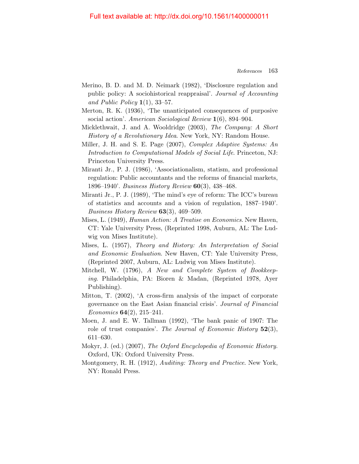#### Full text available at: http://dx.doi.org/10.1561/1400000011

- Merino, B. D. and M. D. Neimark (1982), 'Disclosure regulation and public policy: A sociohistorical reappraisal'. Journal of Accounting and Public Policy  $1(1)$ , 33–57.
- Merton, R. K. (1936), 'The unanticipated consequences of purposive social action'. American Sociological Review 1(6), 894–904.
- <span id="page-35-0"></span>Micklethwait, J. and A. Wooldridge (2003), The Company: A Short History of a Revolutionary Idea. New York, NY: Random House.
- Miller, J. H. and S. E. Page (2007), Complex Adaptive Systems: An Introduction to Computational Models of Social Life. Princeton, NJ: Princeton University Press.
- Miranti Jr., P. J. (1986), 'Associationalism, statism, and professional regulation: Public accountants and the reforms of financial markets, 1896–1940'. Business History Review 60(3), 438–468.
- Miranti Jr., P. J. (1989), 'The mind's eye of reform: The ICC's bureau of statistics and accounts and a vision of regulation, 1887–1940'. Business History Review 63(3), 469–509.
- <span id="page-35-1"></span>Mises, L. (1949), Human Action: A Treatise on Economics. New Haven, CT: Yale University Press, (Reprinted 1998, Auburn, AL: The Ludwig von Mises Institute).
- Mises, L. (1957), Theory and History: An Interpretation of Social and Economic Evaluation. New Haven, CT: Yale University Press, (Reprinted 2007, Auburn, AL: Ludwig von Mises Institute).
- Mitchell, W. (1796), A New and Complete System of Bookkeeping. Philadelphia, PA: Bioren & Madan, (Reprinted 1978, Ayer Publishing).
- Mitton, T. (2002), 'A cross-firm analysis of the impact of corporate governance on the East Asian financial crisis'. Journal of Financial Economics  $64(2)$ ,  $215-241$ .
- Moen, J. and E. W. Tallman (1992), 'The bank panic of 1907: The role of trust companies'. The Journal of Economic History  $52(3)$ , 611–630.
- Mokyr, J. (ed.) (2007), The Oxford Encyclopedia of Economic History. Oxford, UK: Oxford University Press.
- Montgomery, R. H. (1912), Auditing: Theory and Practice. New York, NY: Ronald Press.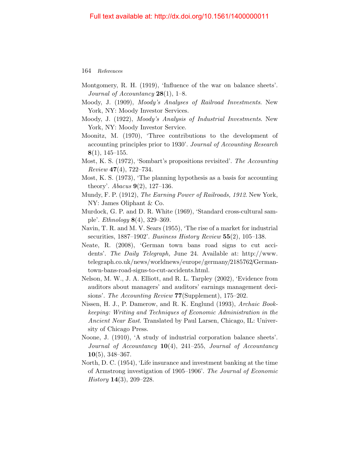- Montgomery, R. H. (1919), 'Influence of the war on balance sheets'. Journal of Accountancy  $28(1)$ , 1–8.
- Moody, J. (1909), Moody's Analyses of Railroad Investments. New York, NY: Moody Investor Services.
- Moody, J. (1922), Moody's Analysis of Industrial Investments. New York, NY: Moody Investor Service.
- Moonitz, M. (1970), 'Three contributions to the development of accounting principles prior to 1930'. Journal of Accounting Research 8(1), 145–155.
- Most, K. S. (1972), 'Sombart's propositions revisited'. The Accounting  $Review 47(4), 722–734.$
- Most, K. S. (1973), 'The planning hypothesis as a basis for accounting theory'. *Abacus* **9**(2), 127–136.
- Mundy, F. P. (1912), The Earning Power of Railroads, 1912. New York, NY: James Oliphant & Co.
- Murdock, G. P. and D. R. White (1969), 'Standard cross-cultural sample'. Ethnology 8(4), 329–369.
- Navin, T. R. and M. V. Sears (1955), 'The rise of a market for industrial securities,  $1887-1902$ . Business History Review  $55(2)$ ,  $105-138$ .
- Neate, R. (2008), 'German town bans road signs to cut accidents'. The Daily Telegraph, June 24. Available at: http://www. telegraph.co.uk/news/worldnews/europe/germany/2185762/Germantown-bans-road-signs-to-cut-accidents.html.
- Nelson, M. W., J. A. Elliott, and R. L. Tarpley (2002), 'Evidence from auditors about managers' and auditors' earnings management decisions'. The Accounting Review 77(Supplement), 175–202.
- Nissen, H. J., P. Damerow, and R. K. Englund (1993), Archaic Bookkeeping: Writing and Techniques of Economic Administration in the Ancient Near East. Translated by Paul Larsen, Chicago, IL: University of Chicago Press.
- Noone, J. (1910), 'A study of industrial corporation balance sheets'. Journal of Accountancy  $10(4)$ , 241–255, Journal of Accountancy  $10(5)$ , 348–367.
- North, D. C. (1954), 'Life insurance and investment banking at the time of Armstrong investigation of 1905–1906'. The Journal of Economic  $History 14(3), 209-228.$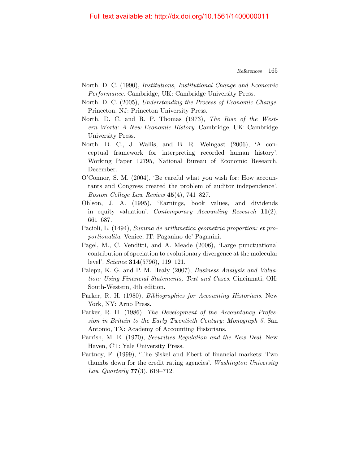- North, D. C. (1990), Institutions, Institutional Change and Economic Performance. Cambridge, UK: Cambridge University Press.
- <span id="page-37-1"></span>North, D. C. (2005), Understanding the Process of Economic Change. Princeton, NJ: Princeton University Press.
- North, D. C. and R. P. Thomas (1973), The Rise of the Western World: A New Economic History. Cambridge, UK: Cambridge University Press.
- North, D. C., J. Wallis, and B. R. Weingast (2006), 'A conceptual framework for interpreting recorded human history'. Working Paper 12795, National Bureau of Economic Research, December.
- O'Connor, S. M. (2004), 'Be careful what you wish for: How accountants and Congress created the problem of auditor independence'. Boston College Law Review 45(4), 741–827.
- Ohlson, J. A. (1995), 'Earnings, book values, and dividends in equity valuation'. Contemporary Accounting Research  $11(2)$ , 661–687.
- <span id="page-37-0"></span>Pacioli, L. (1494), Summa de arithmetica geometria proportion: et proportionalita. Venice, IT: Paganino de' Paganini.
- Pagel, M., C. Venditti, and A. Meade (2006), 'Large punctuational contribution of speciation to evolutionary divergence at the molecular level'. Science 314(5796), 119–121.
- Palepu, K. G. and P. M. Healy (2007), Business Analysis and Valuation: Using Financial Statements, Text and Cases. Cincinnati, OH: South-Western, 4th edition.
- Parker, R. H. (1980), Bibliographies for Accounting Historians. New York, NY: Arno Press.
- Parker, R. H. (1986), The Development of the Accountancy Profession in Britain to the Early Twentieth Century: Monograph 5. San Antonio, TX: Academy of Accounting Historians.
- Parrish, M. E. (1970), Securities Regulation and the New Deal. New Haven, CT: Yale University Press.
- Partnoy, F. (1999), 'The Siskel and Ebert of financial markets: Two thumbs down for the credit rating agencies'. Washington University *Law Quarterly* **77**(3), 619–712.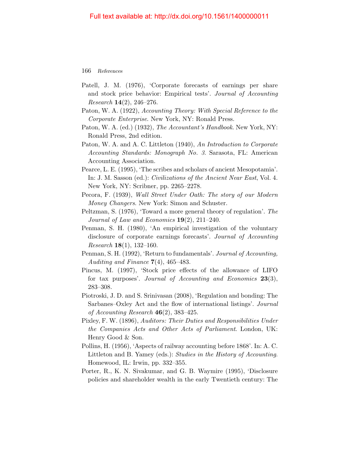- Patell, J. M. (1976), 'Corporate forecasts of earnings per share and stock price behavior: Empirical tests'. Journal of Accounting *Research*  $14(2)$ ,  $246-276$ .
- Paton, W. A. (1922), Accounting Theory: With Special Reference to the Corporate Enterprise. New York, NY: Ronald Press.
- Paton, W. A. (ed.) (1932), The Accountant's Handbook. New York, NY: Ronald Press, 2nd edition.
- Paton, W. A. and A. C. Littleton (1940), An Introduction to Corporate Accounting Standards: Monograph No. 3. Sarasota, FL: American Accounting Association.
- Pearce, L. E. (1995), 'The scribes and scholars of ancient Mesopotamia'. In: J. M. Sasson (ed.): Civilizations of the Ancient Near East, Vol. 4. New York, NY: Scribner, pp. 2265–2278.
- Pecora, F. (1939), Wall Street Under Oath: The story of our Modern Money Changers. New York: Simon and Schuster.
- Peltzman, S. (1976), 'Toward a more general theory of regulation'. The Journal of Law and Economics  $19(2)$ ,  $211-240$ .
- Penman, S. H. (1980), 'An empirical investigation of the voluntary disclosure of corporate earnings forecasts'. Journal of Accounting *Research* **18**(1), **132–160**.
- Penman, S. H. (1992), 'Return to fundamentals'. Journal of Accounting, Auditing and Finance  $7(4)$ , 465–483.
- Pincus, M. (1997), 'Stock price effects of the allowance of LIFO for tax purposes'. Journal of Accounting and Economics  $23(3)$ , 283–308.
- Piotroski, J. D. and S. Srinivasan (2008), 'Regulation and bonding: The Sarbanes–Oxley Act and the flow of international listings'. Journal of Accounting Research  $46(2)$ , 383-425.
- Pixley, F. W. (1896), Auditors: Their Duties and Responsibilities Under the Companies Acts and Other Acts of Parliament. London, UK: Henry Good & Son.
- Pollins, H. (1956), 'Aspects of railway accounting before 1868'. In: A. C. Littleton and B. Yamey (eds.): Studies in the History of Accounting. Homewood, IL: Irwin, pp. 332–355.
- Porter, R., K. N. Sivakumar, and G. B. Waymire (1995), 'Disclosure policies and shareholder wealth in the early Twentieth century: The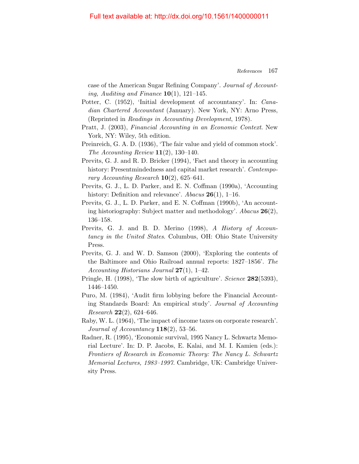case of the American Sugar Refining Company'. Journal of Accounting, Auditing and Finance  $10(1)$ , 121–145.

- Potter, C. (1952), 'Initial development of accountancy'. In: Canadian Chartered Accountant (January). New York, NY: Arno Press, (Reprinted in Readings in Accounting Development, 1978).
- Pratt, J. (2003), Financial Accounting in an Economic Context. New York, NY: Wiley, 5th edition.
- Preinreich, G. A. D. (1936), 'The fair value and yield of common stock'. The Accounting Review  $11(2)$ , 130–140.
- Previts, G. J. and R. D. Bricker (1994), 'Fact and theory in accounting history: Presentmindedness and capital market research'. Contemporary Accounting Research  $10(2)$ , 625–641.
- Previts, G. J., L. D. Parker, and E. N. Coffman (1990a), 'Accounting history: Definition and relevance'. Abacus  $26(1)$ , 1–16.
- Previts, G. J., L. D. Parker, and E. N. Coffman (1990b), 'An accounting historiography: Subject matter and methodology'. Abacus  $26(2)$ , 136–158.
- Previts, G. J. and B. D. Merino (1998), A History of Accountancy in the United States. Columbus, OH: Ohio State University Press.
- Previts, G. J. and W. D. Samson (2000), 'Exploring the contents of the Baltimore and Ohio Railroad annual reports: 1827–1856'. The Accounting Historians Journal  $27(1)$ , 1–42.
- Pringle, H. (1998), 'The slow birth of agriculture'. Science 282(5393), 1446–1450.
- Puro, M. (1984), 'Audit firm lobbying before the Financial Accounting Standards Board: An empirical study'. Journal of Accounting *Research* **22** $(2)$ , 624–646.
- Raby, W. L. (1964), 'The impact of income taxes on corporate research'. Journal of Accountancy  $118(2)$ , 53-56.
- Radner, R. (1995), 'Economic survival, 1995 Nancy L. Schwartz Memorial Lecture'. In: D. P. Jacobs, E. Kalai, and M. I. Kamien (eds.): Frontiers of Research in Economic Theory: The Nancy L. Schwartz Memorial Lectures, 1983–1997. Cambridge, UK: Cambridge University Press.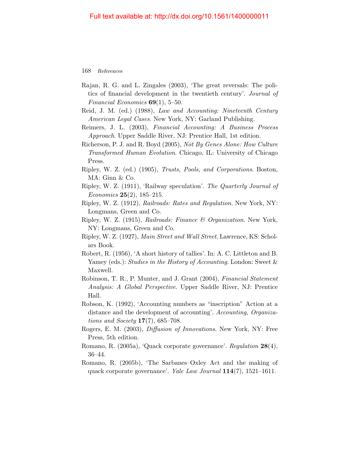- Rajan, R. G. and L. Zingales (2003), 'The great reversals: The politics of financial development in the twentieth century'. Journal of Financial Economics  $69(1)$ , 5-50.
- Reid, J. M. (ed.) (1988), Law and Accounting: Nineteenth Century American Legal Cases. New York, NY: Garland Publishing.
- Reimers, J. L. (2003), Financial Accounting: A Business Process Approach. Upper Saddle River, NJ: Prentice Hall, 1st edition.
- Richerson, P. J. and R. Boyd (2005), Not By Genes Alone: How Culture Transformed Human Evolution. Chicago, IL: University of Chicago Press.
- Ripley, W. Z. (ed.) (1905), Trusts, Pools, and Corporations. Boston, MA: Ginn & Co.
- Ripley, W. Z. (1911), 'Railway speculation'. The Quarterly Journal of *Economics* **25** $(2)$ , **185** $-215$ .
- Ripley, W. Z. (1912), Railroads: Rates and Regulation. New York, NY: Longmans, Green and Co.
- Ripley, W. Z. (1915), Railroads: Finance & Organization. New York, NY: Longmans, Green and Co.
- Ripley, W. Z. (1927), Main Street and Wall Street. Lawrence, KS: Scholars Book.
- Robert, R. (1956), 'A short history of tallies'. In: A. C. Littleton and B. Yamey (eds.): Studies in the History of Accounting. London: Sweet & Maxwell.
- Robinson, T. R., P. Munter, and J. Grant (2004), Financial Statement Analysis: A Global Perspective. Upper Saddle River, NJ: Prentice Hall.
- Robson, K. (1992), 'Accounting numbers as "inscription" Action at a distance and the development of accounting'. Accounting, Organiza*tions and Society*  $17(7)$ , 685–708.
- Rogers, E. M. (2003), Diffusion of Innovations. New York, NY: Free Press, 5th edition.
- Romano, R. (2005a), 'Quack corporate governance'. Regulation 28(4), 36–44.
- Romano, R. (2005b), 'The Sarbanes–Oxley Act and the making of quack corporate governance'. Yale Law Journal 114(7), 1521–1611.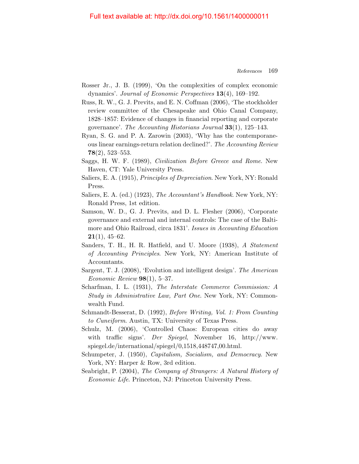#### Full text available at: http://dx.doi.org/10.1561/1400000011

- Rosser Jr., J. B. (1999), 'On the complexities of complex economic dynamics'. Journal of Economic Perspectives 13(4), 169–192.
- Russ, R. W., G. J. Previts, and E. N. Coffman (2006), 'The stockholder review committee of the Chesapeake and Ohio Canal Company, 1828–1857: Evidence of changes in financial reporting and corporate governance'. The Accounting Historians Journal  $33(1)$ , 125–143.
- Ryan, S. G. and P. A. Zarowin (2003), 'Why has the contemporaneous linear earnings-return relation declined?'. The Accounting Review 78(2), 523–553.
- Saggs, H. W. F. (1989), Civilization Before Greece and Rome. New Haven, CT: Yale University Press.
- Saliers, E. A. (1915), Principles of Depreciation. New York, NY: Ronald Press.
- Saliers, E. A. (ed.) (1923), The Accountant's Handbook. New York, NY: Ronald Press, 1st edition.
- Samson, W. D., G. J. Previts, and D. L. Flesher (2006), 'Corporate governance and external and internal controls: The case of the Baltimore and Ohio Railroad, circa 1831'. Issues in Accounting Education  $21(1), 45-62.$
- Sanders, T. H., H. R. Hatfield, and U. Moore (1938), A Statement of Accounting Principles. New York, NY: American Institute of Accountants.
- Sargent, T. J. (2008), 'Evolution and intelligent design'. The American Economic Review  $98(1)$ , 5-37.
- Scharfman, I. L. (1931), The Interstate Commerce Commission: A Study in Administrative Law, Part One. New York, NY: Commonwealth Fund.
- <span id="page-41-0"></span>Schmandt-Besserat, D. (1992), Before Writing, Vol. 1: From Counting to Cuneiform. Austin, TX: University of Texas Press.
- Schulz, M. (2006), 'Controlled Chaos: European cities do away with traffic signs'. Der Spiegel, November 16, http://www. spiegel.de/international/spiegel/0,1518,448747,00.html.
- <span id="page-41-1"></span>Schumpeter, J. (1950), *Capitalism, Socialism, and Democracy*. New York, NY: Harper  $&$  Row, 3rd edition.
- Seabright, P. (2004), The Company of Strangers: A Natural History of Economic Life. Princeton, NJ: Princeton University Press.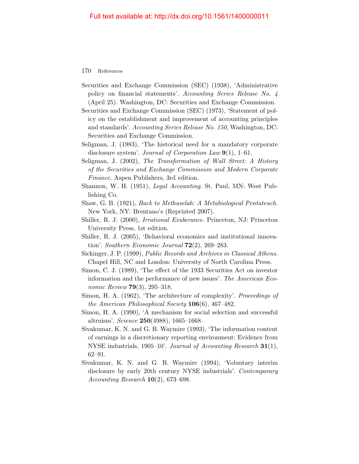- Securities and Exchange Commission (SEC) (1938), 'Administrative policy on financial statements'. Accounting Series Release No. 4 (April 25). Washington, DC: Securities and Exchange Commission.
- Securities and Exchange Commission (SEC) (1973), 'Statement of policy on the establishment and improvement of accounting principles and standards'. Accounting Series Release No. 150, Washington, DC: Securities and Exchange Commission.
- Seligman, J. (1983), 'The historical need for a mandatory corporate disclosure system'. Journal of Corporation Law 9(1), 1–61.
- Seligman, J. (2002), The Transformation of Wall Street: A History of the Securities and Exchange Commission and Modern Corporate Finance. Aspen Publishers, 3rd edition.
- Shannon, W. H. (1951), Legal Accounting. St. Paul, MN: West Publishing Co.
- Shaw, G. B. (1921), Back to Methuselah: A Metabiological Pentateuch. New York, NY: Brentano's (Reprinted 2007).
- Shiller, R. J. (2000), Irrational Exuberance. Princeton, NJ: Princeton University Press, 1st edition.
- Shiller, R. J. (2005), 'Behavioral economics and institutional innovation'. Southern Economic Journal  $72(2)$ , 269–283.
- Sickinger, J. P. (1999), Public Records and Archives in Classical Athens. Chapel Hill, NC and London: University of North Carolina Press.
- Simon, C. J. (1989), 'The effect of the 1933 Securities Act on investor information and the performance of new issues'. The American Economic Review 79(3), 295–318.
- Simon, H. A. (1962), 'The architecture of complexity'. Proceedings of the American Philosophical Society  $106(6)$ , 467-482.
- Simon, H. A. (1990), 'A mechanism for social selection and successful altruism'. Science 250(4988), 1665–1668.
- <span id="page-42-0"></span>Sivakumar, K. N. and G. B. Waymire (1993), 'The information content of earnings in a discretionary reporting environment: Evidence from NYSE industrials, 1905–10'. Journal of Accounting Research 31(1), 62–91.
- <span id="page-42-1"></span>Sivakumar, K. N. and G. B. Waymire (1994), 'Voluntary interim disclosure by early 20th century NYSE industrials'. Contemporary Accounting Research  $10(2)$ , 673–698.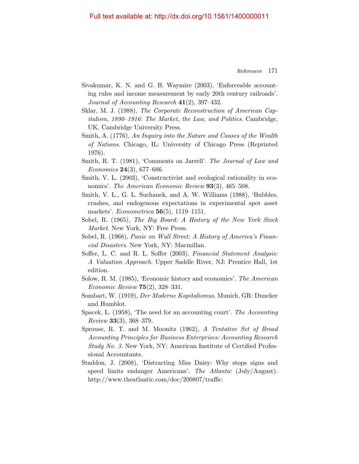- Sivakumar, K. N. and G. B. Waymire (2003), 'Enforceable accounting rules and income measurement by early 20th century railroads'. Journal of Accounting Research 41(2), 397–432.
- Sklar, M. J. (1988), The Corporate Reconstruction of American Capitalism, 1890–1916: The Market, the Law, and Politics. Cambridge, UK, Cambridge University Press.
- <span id="page-43-0"></span>Smith, A. (1776), An Inquiry into the Nature and Causes of the Wealth of Nations. Chicago, IL: University of Chicago Press (Reprinted 1976).
- Smith, R. T. (1981), 'Comments on Jarrell'. The Journal of Law and Economics  $24(3)$ , 677–686.
- <span id="page-43-1"></span>Smith, V. L. (2003), 'Constructivist and ecological rationality in economics'. The American Economic Review 93(3), 465–508.
- Smith, V. L., G. L. Suchanek, and A. W. Williams (1988), 'Bubbles, crashes, and endogenous expectations in experimental spot asset markets'. *Econometrica* **56**(5), 1119–1151.
- Sobel, R. (1965), The Big Board: A History of the New York Stock Market. New York, NY: Free Press.
- Sobel, R. (1968), Panic on Wall Street: A History of America's Financial Disasters. New York, NY: Macmillan.
- Soffer, L. C. and R. L. Soffer (2003), Financial Statement Analysis: A Valuation Approach. Upper Saddle River, NJ: Prentice Hall, 1st edition.
- Solow, R. M. (1985), 'Economic history and economics'. The American Economic Review 75(2), 328–331.
- <span id="page-43-2"></span>Sombart, W. (1919), Der Moderne Kapitalismus. Munich, GR: Duncker and Humblot.
- Spacek, L. (1958), 'The need for an accounting court'. The Accounting  $Review 33(3), 368-379.$
- Sprouse, R. T. and M. Moonitz (1962), A Tentative Set of Broad Accounting Principles for Business Enterprises: Accounting Research Study No. 3. New York, NY: American Institute of Certified Professional Accountants.
- Staddon, J. (2008), 'Distracting Miss Daisy: Why stops signs and speed limits endanger Americans'. The Atlantic (July/August). http://www.theatlantic.com/doc/200807/traffic.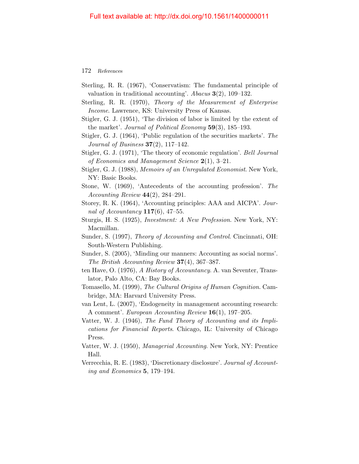- Sterling, R. R. (1967), 'Conservatism: The fundamental principle of valuation in traditional accounting'. Abacus  $3(2)$ , 109–132.
- Sterling, R. R. (1970), Theory of the Measurement of Enterprise Income. Lawrence, KS: University Press of Kansas.
- Stigler, G. J. (1951), 'The division of labor is limited by the extent of the market'. Journal of Political Economy  $59(3)$ , 185–193.
- Stigler, G. J. (1964), 'Public regulation of the securities markets'. The Journal of Business  $37(2)$ ,  $117-142$ .
- Stigler, G. J. (1971), 'The theory of economic regulation'. Bell Journal of Economics and Management Science  $2(1)$ , 3-21.
- Stigler, G. J. (1988), Memoirs of an Unregulated Economist. New York, NY: Basic Books.
- Stone, W. (1969), 'Antecedents of the accounting profession'. The Accounting Review  $44(2)$ , 284-291.
- Storey, R. K. (1964), 'Accounting principles: AAA and AICPA'. Journal of Accountancy  $117(6)$ , 47-55.
- Sturgis, H. S. (1925), Investment: A New Profession. New York, NY: Macmillan.
- Sunder, S. (1997), Theory of Accounting and Control. Cincinnati, OH: South-Western Publishing.
- Sunder, S. (2005), 'Minding our manners: Accounting as social norms'. The British Accounting Review 37(4), 367–387.
- ten Have, O. (1976), A History of Accountancy. A. van Seventer, Translator, Palo Alto, CA: Bay Books.
- Tomasello, M. (1999), The Cultural Origins of Human Cognition. Cambridge, MA: Harvard University Press.
- van Lent, L. (2007), 'Endogeneity in management accounting research: A comment'. European Accounting Review 16(1), 197–205.
- Vatter, W. J. (1946), The Fund Theory of Accounting and its Implications for Financial Reports. Chicago, IL: University of Chicago Press.
- Vatter, W. J. (1950), Managerial Accounting. New York, NY: Prentice Hall.
- Verrecchia, R. E. (1983), 'Discretionary disclosure'. Journal of Accounting and Economics 5, 179–194.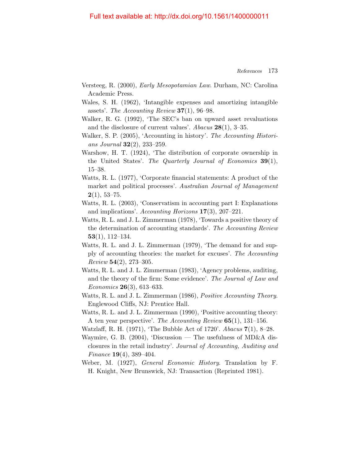- Versteeg, R. (2000), Early Mesopotamian Law. Durham, NC: Carolina Academic Press.
- Wales, S. H. (1962), 'Intangible expenses and amortizing intangible assets'. The Accounting Review  $37(1)$ , 96–98.
- Walker, R. G. (1992), 'The SEC's ban on upward asset revaluations and the disclosure of current values'. Abacus  $28(1)$ , 3-35.
- Walker, S. P. (2005), 'Accounting in history'. The Accounting Historians Journal  $32(2)$ ,  $233-259$ .
- Warshow, H. T. (1924), 'The distribution of corporate ownership in the United States'. The Quarterly Journal of Economics 39(1), 15–38.
- Watts, R. L. (1977), 'Corporate financial statements: A product of the market and political processes'. Australian Journal of Management  $2(1), 53-75.$
- Watts, R. L. (2003), 'Conservatism in accounting part I: Explanations and implications'. Accounting Horizons  $17(3)$ ,  $207-221$ .
- Watts, R. L. and J. L. Zimmerman (1978), 'Towards a positive theory of the determination of accounting standards'. The Accounting Review 53(1), 112–134.
- Watts, R. L. and J. L. Zimmerman (1979), 'The demand for and supply of accounting theories: the market for excuses'. The Accounting Review 54(2), 273–305.
- <span id="page-45-0"></span>Watts, R. L. and J. L. Zimmerman (1983), 'Agency problems, auditing, and the theory of the firm: Some evidence'. The Journal of Law and *Economics* **26**(3), 613–633.
- Watts, R. L. and J. L. Zimmerman (1986), Positive Accounting Theory. Englewood Cliffs, NJ: Prentice Hall.
- Watts, R. L. and J. L. Zimmerman (1990), 'Positive accounting theory: A ten year perspective'. The Accounting Review  $65(1)$ , 131–156.
- Watzlaff, R. H. (1971), 'The Bubble Act of 1720'. Abacus 7(1), 8–28.
- Waymire, G. B. (2004), 'Discussion The usefulness of MD&A disclosures in the retail industry'. Journal of Accounting, Auditing and Finance 19(4), 389–404.
- <span id="page-45-1"></span>Weber, M. (1927), General Economic History. Translation by F. H. Knight, New Brunswick, NJ: Transaction (Reprinted 1981).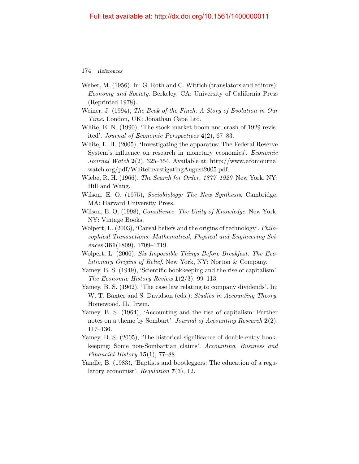- <span id="page-46-1"></span>Weber, M. (1956). In: G. Roth and C. Wittich (translators and editors): Economy and Society. Berkeley, CA: University of California Press (Reprinted 1978).
- Weiner, J. (1994), The Beak of the Finch: A Story of Evolution in Our Time. London, UK: Jonathan Cape Ltd.
- White, E. N. (1990), 'The stock market boom and crash of 1929 revisited'. Journal of Economic Perspectives 4(2), 67–83.
- White, L. H. (2005), 'Investigating the apparatus: The Federal Reserve System's influence on research in monetary economics'. Economic Journal Watch 2(2), 325–354. Available at: http://www.econjournal watch.org/pdf/WhiteInvestigatingAugust2005.pdf.
- Wiebe, R. H. (1966), The Search for Order, 1877–1920. New York, NY: Hill and Wang.
- <span id="page-46-0"></span>Wilson, E. O. (1975), Sociobiology: The New Synthesis. Cambridge, MA: Harvard University Press.
- Wilson, E. O. (1998), Consilience: The Unity of Knowledge. New York, NY: Vintage Books.
- Wolpert, L. (2003), 'Causal beliefs and the origins of technology'. Philosophical Transactions: Mathematical, Physical and Engineering Sci $ences$  361(1809), 1709–1719.
- Wolpert, L. (2006), Six Impossible Things Before Breakfast: The Evolutionary Origins of Belief. New York, NY: Norton & Company.
- Yamey, B. S. (1949), 'Scientific bookkeeping and the rise of capitalism'. The Economic History Review  $1(2/3)$ , 99–113.
- Yamey, B. S. (1962), 'The case law relating to company dividends'. In: W. T. Baxter and S. Davidson (eds.): Studies in Accounting Theory. Homewood, IL: Irwin.
- Yamey, B. S. (1964), 'Accounting and the rise of capitalism: Further notes on a theme by Sombart'. Journal of Accounting Research 2(2), 117–136.
- Yamey, B. S. (2005), 'The historical significance of double-entry bookkeeping: Some non-Sombartian claims'. Accounting, Business and Financial History  $15(1)$ , 77–88.
- Yandle, B. (1983), 'Baptists and bootleggers: The education of a regulatory economist'. Regulation 7(3), 12.